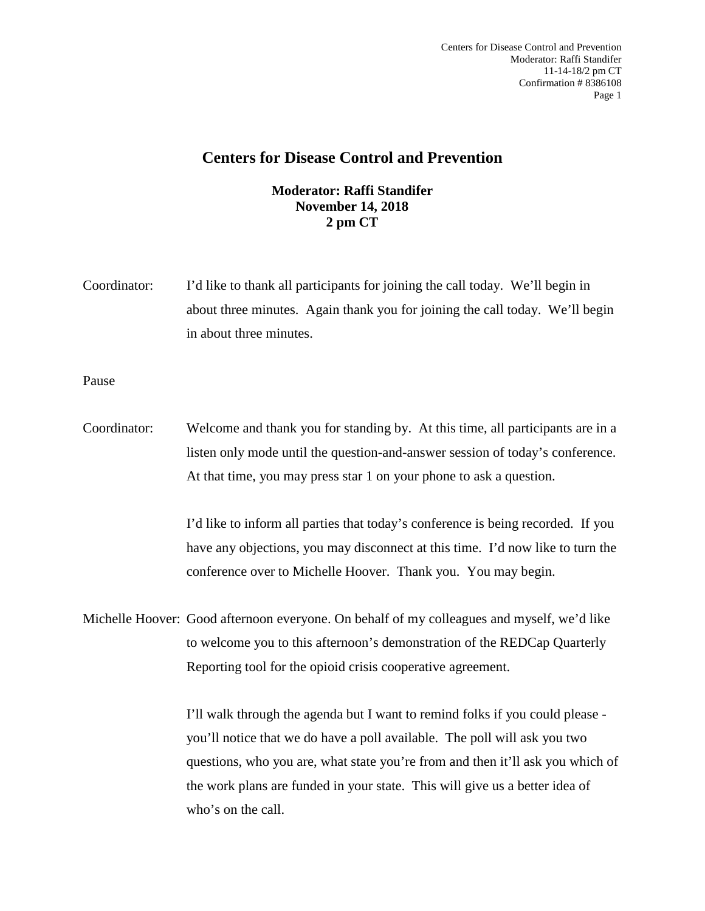## **Centers for Disease Control and Prevention**

## **Moderator: Raffi Standifer November 14, 2018 2 pm CT**

Coordinator: I'd like to thank all participants for joining the call today. We'll begin in about three minutes. Again thank you for joining the call today. We'll begin in about three minutes.

Pause

Coordinator: Welcome and thank you for standing by. At this time, all participants are in a listen only mode until the question-and-answer session of today's conference. At that time, you may press star 1 on your phone to ask a question.

> I'd like to inform all parties that today's conference is being recorded. If you have any objections, you may disconnect at this time. I'd now like to turn the conference over to Michelle Hoover. Thank you. You may begin.

Michelle Hoover: Good afternoon everyone. On behalf of my colleagues and myself, we'd like to welcome you to this afternoon's demonstration of the REDCap Quarterly Reporting tool for the opioid crisis cooperative agreement.

> I'll walk through the agenda but I want to remind folks if you could please you'll notice that we do have a poll available. The poll will ask you two questions, who you are, what state you're from and then it'll ask you which of the work plans are funded in your state. This will give us a better idea of who's on the call.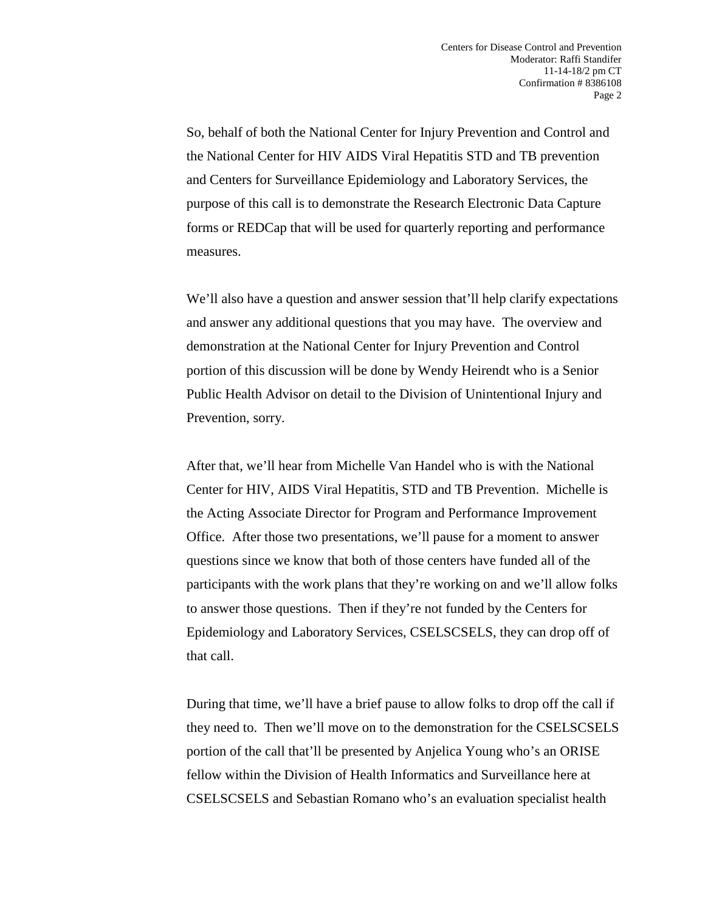So, behalf of both the National Center for Injury Prevention and Control and the National Center for HIV AIDS Viral Hepatitis STD and TB prevention and Centers for Surveillance Epidemiology and Laboratory Services, the purpose of this call is to demonstrate the Research Electronic Data Capture forms or REDCap that will be used for quarterly reporting and performance measures.

We'll also have a question and answer session that'll help clarify expectations and answer any additional questions that you may have. The overview and demonstration at the National Center for Injury Prevention and Control portion of this discussion will be done by Wendy Heirendt who is a Senior Public Health Advisor on detail to the Division of Unintentional Injury and Prevention, sorry.

After that, we'll hear from Michelle Van Handel who is with the National Center for HIV, AIDS Viral Hepatitis, STD and TB Prevention. Michelle is the Acting Associate Director for Program and Performance Improvement Office. After those two presentations, we'll pause for a moment to answer questions since we know that both of those centers have funded all of the participants with the work plans that they're working on and we'll allow folks to answer those questions. Then if they're not funded by the Centers for Epidemiology and Laboratory Services, CSELSCSELS, they can drop off of that call.

During that time, we'll have a brief pause to allow folks to drop off the call if they need to. Then we'll move on to the demonstration for the CSELSCSELS portion of the call that'll be presented by Anjelica Young who's an ORISE fellow within the Division of Health Informatics and Surveillance here at CSELSCSELS and Sebastian Romano who's an evaluation specialist health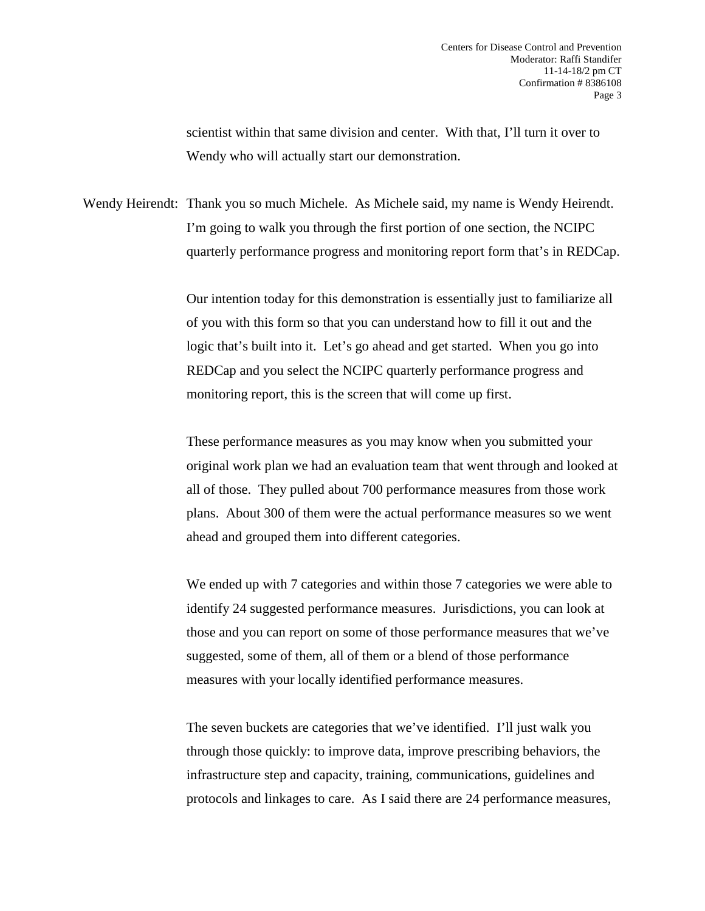scientist within that same division and center. With that, I'll turn it over to Wendy who will actually start our demonstration.

Wendy Heirendt: Thank you so much Michele. As Michele said, my name is Wendy Heirendt. I'm going to walk you through the first portion of one section, the NCIPC quarterly performance progress and monitoring report form that's in REDCap.

> Our intention today for this demonstration is essentially just to familiarize all of you with this form so that you can understand how to fill it out and the logic that's built into it. Let's go ahead and get started. When you go into REDCap and you select the NCIPC quarterly performance progress and monitoring report, this is the screen that will come up first.

These performance measures as you may know when you submitted your original work plan we had an evaluation team that went through and looked at all of those. They pulled about 700 performance measures from those work plans. About 300 of them were the actual performance measures so we went ahead and grouped them into different categories.

We ended up with 7 categories and within those 7 categories we were able to identify 24 suggested performance measures. Jurisdictions, you can look at those and you can report on some of those performance measures that we've suggested, some of them, all of them or a blend of those performance measures with your locally identified performance measures.

The seven buckets are categories that we've identified. I'll just walk you through those quickly: to improve data, improve prescribing behaviors, the infrastructure step and capacity, training, communications, guidelines and protocols and linkages to care. As I said there are 24 performance measures,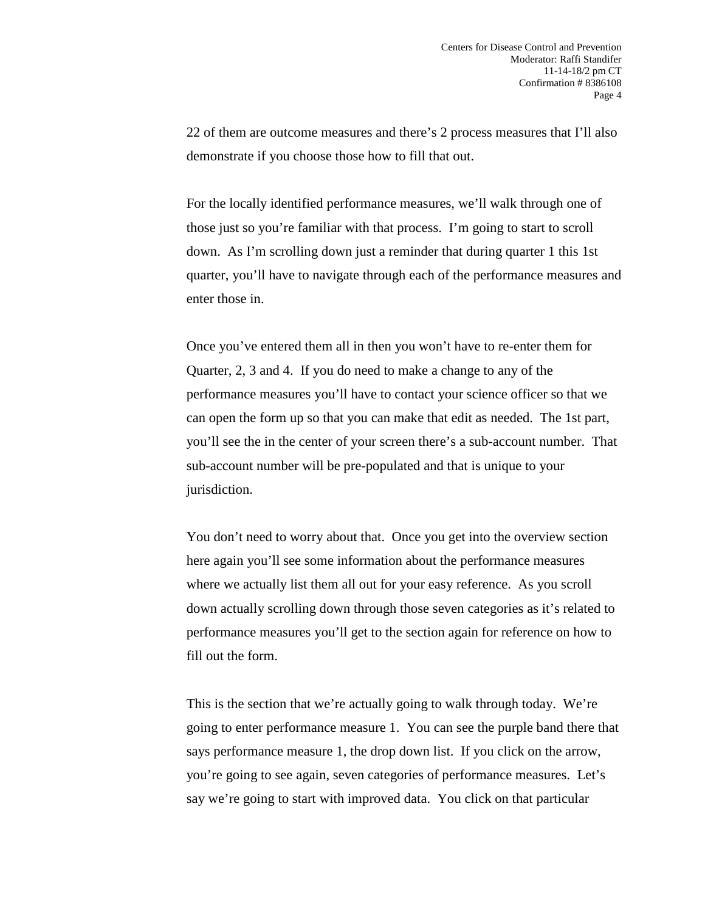22 of them are outcome measures and there's 2 process measures that I'll also demonstrate if you choose those how to fill that out.

For the locally identified performance measures, we'll walk through one of those just so you're familiar with that process. I'm going to start to scroll down. As I'm scrolling down just a reminder that during quarter 1 this 1st quarter, you'll have to navigate through each of the performance measures and enter those in.

Once you've entered them all in then you won't have to re-enter them for Quarter, 2, 3 and 4. If you do need to make a change to any of the performance measures you'll have to contact your science officer so that we can open the form up so that you can make that edit as needed. The 1st part, you'll see the in the center of your screen there's a sub-account number. That sub-account number will be pre-populated and that is unique to your jurisdiction.

You don't need to worry about that. Once you get into the overview section here again you'll see some information about the performance measures where we actually list them all out for your easy reference. As you scroll down actually scrolling down through those seven categories as it's related to performance measures you'll get to the section again for reference on how to fill out the form.

This is the section that we're actually going to walk through today. We're going to enter performance measure 1. You can see the purple band there that says performance measure 1, the drop down list. If you click on the arrow, you're going to see again, seven categories of performance measures. Let's say we're going to start with improved data. You click on that particular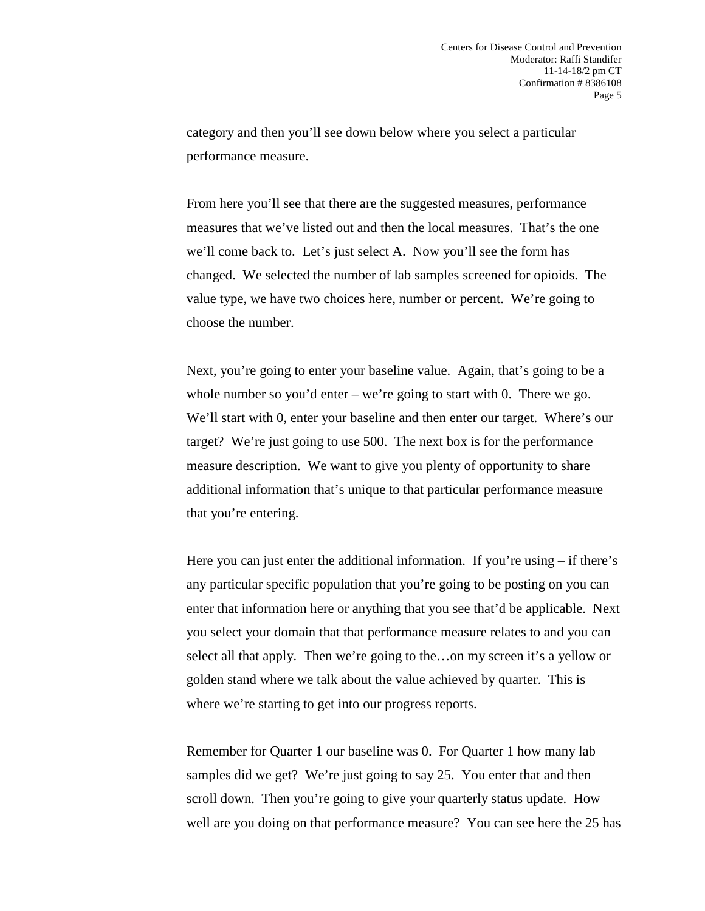category and then you'll see down below where you select a particular performance measure.

From here you'll see that there are the suggested measures, performance measures that we've listed out and then the local measures. That's the one we'll come back to. Let's just select A. Now you'll see the form has changed. We selected the number of lab samples screened for opioids. The value type, we have two choices here, number or percent. We're going to choose the number.

Next, you're going to enter your baseline value. Again, that's going to be a whole number so you'd enter – we're going to start with 0. There we go. We'll start with 0, enter your baseline and then enter our target. Where's our target? We're just going to use 500. The next box is for the performance measure description. We want to give you plenty of opportunity to share additional information that's unique to that particular performance measure that you're entering.

Here you can just enter the additional information. If you're using  $-$  if there's any particular specific population that you're going to be posting on you can enter that information here or anything that you see that'd be applicable. Next you select your domain that that performance measure relates to and you can select all that apply. Then we're going to the…on my screen it's a yellow or golden stand where we talk about the value achieved by quarter. This is where we're starting to get into our progress reports.

Remember for Quarter 1 our baseline was 0. For Quarter 1 how many lab samples did we get? We're just going to say 25. You enter that and then scroll down. Then you're going to give your quarterly status update. How well are you doing on that performance measure? You can see here the 25 has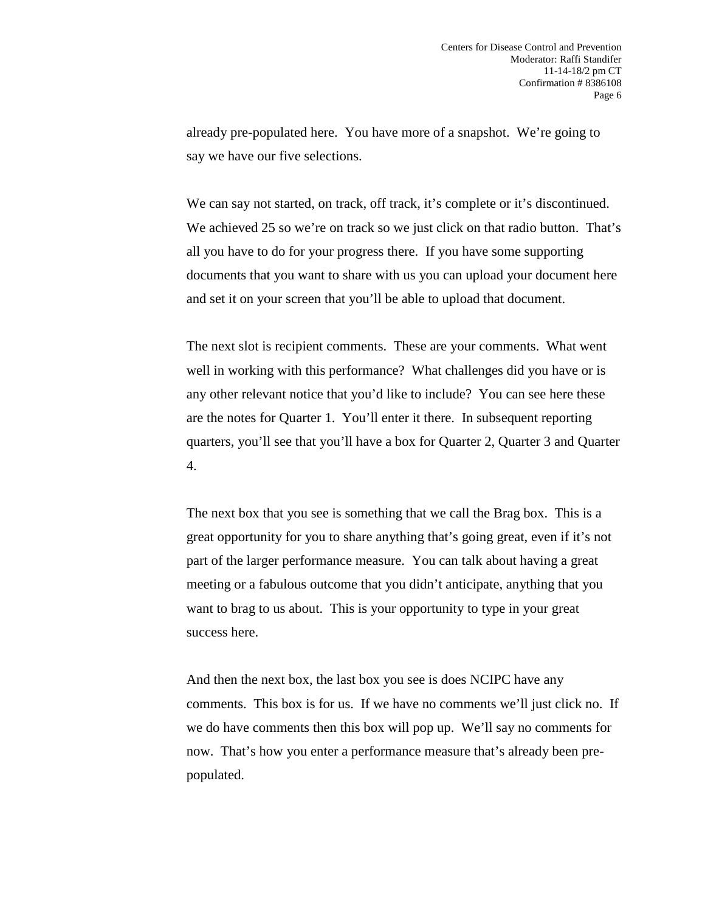already pre-populated here. You have more of a snapshot. We're going to say we have our five selections.

We can say not started, on track, off track, it's complete or it's discontinued. We achieved 25 so we're on track so we just click on that radio button. That's all you have to do for your progress there. If you have some supporting documents that you want to share with us you can upload your document here and set it on your screen that you'll be able to upload that document.

The next slot is recipient comments. These are your comments. What went well in working with this performance? What challenges did you have or is any other relevant notice that you'd like to include? You can see here these are the notes for Quarter 1. You'll enter it there. In subsequent reporting quarters, you'll see that you'll have a box for Quarter 2, Quarter 3 and Quarter 4.

The next box that you see is something that we call the Brag box. This is a great opportunity for you to share anything that's going great, even if it's not part of the larger performance measure. You can talk about having a great meeting or a fabulous outcome that you didn't anticipate, anything that you want to brag to us about. This is your opportunity to type in your great success here.

And then the next box, the last box you see is does NCIPC have any comments. This box is for us. If we have no comments we'll just click no. If we do have comments then this box will pop up. We'll say no comments for now. That's how you enter a performance measure that's already been prepopulated.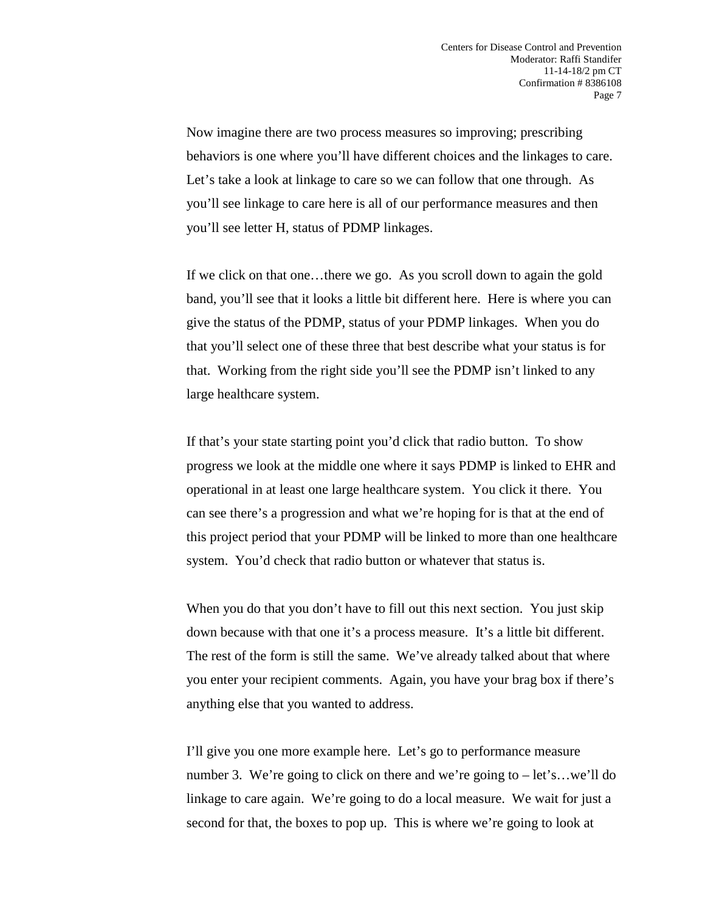Now imagine there are two process measures so improving; prescribing behaviors is one where you'll have different choices and the linkages to care. Let's take a look at linkage to care so we can follow that one through. As you'll see linkage to care here is all of our performance measures and then you'll see letter H, status of PDMP linkages.

If we click on that one…there we go. As you scroll down to again the gold band, you'll see that it looks a little bit different here. Here is where you can give the status of the PDMP, status of your PDMP linkages. When you do that you'll select one of these three that best describe what your status is for that. Working from the right side you'll see the PDMP isn't linked to any large healthcare system.

If that's your state starting point you'd click that radio button. To show progress we look at the middle one where it says PDMP is linked to EHR and operational in at least one large healthcare system. You click it there. You can see there's a progression and what we're hoping for is that at the end of this project period that your PDMP will be linked to more than one healthcare system. You'd check that radio button or whatever that status is.

When you do that you don't have to fill out this next section. You just skip down because with that one it's a process measure. It's a little bit different. The rest of the form is still the same. We've already talked about that where you enter your recipient comments. Again, you have your brag box if there's anything else that you wanted to address.

I'll give you one more example here. Let's go to performance measure number 3. We're going to click on there and we're going to – let's…we'll do linkage to care again. We're going to do a local measure. We wait for just a second for that, the boxes to pop up. This is where we're going to look at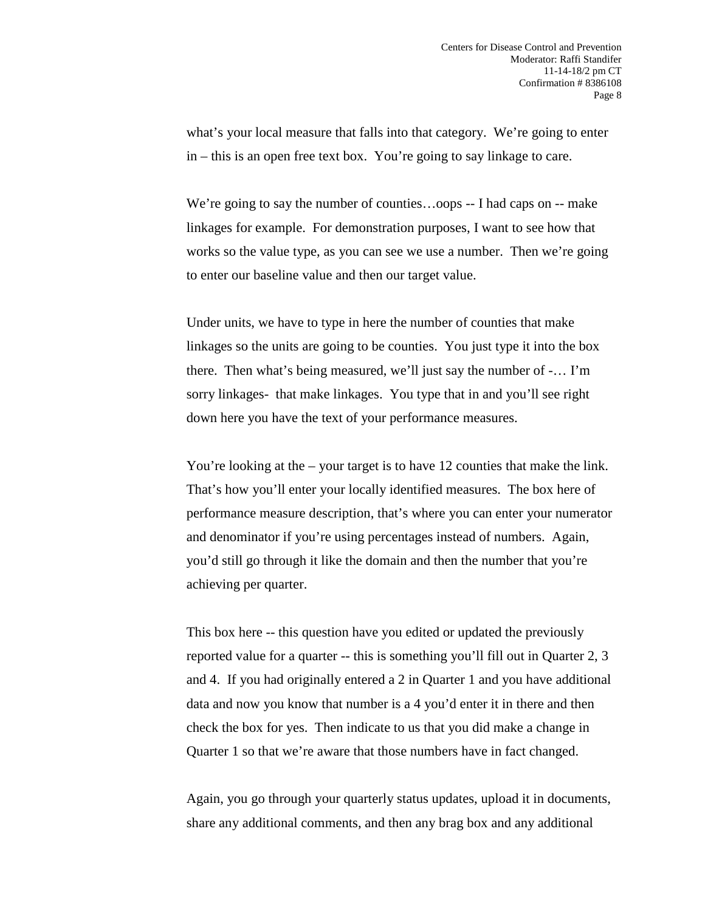what's your local measure that falls into that category. We're going to enter in – this is an open free text box. You're going to say linkage to care.

We're going to say the number of counties...oops -- I had caps on -- make linkages for example. For demonstration purposes, I want to see how that works so the value type, as you can see we use a number. Then we're going to enter our baseline value and then our target value.

Under units, we have to type in here the number of counties that make linkages so the units are going to be counties. You just type it into the box there. Then what's being measured, we'll just say the number of -… I'm sorry linkages- that make linkages. You type that in and you'll see right down here you have the text of your performance measures.

You're looking at the – your target is to have 12 counties that make the link. That's how you'll enter your locally identified measures. The box here of performance measure description, that's where you can enter your numerator and denominator if you're using percentages instead of numbers. Again, you'd still go through it like the domain and then the number that you're achieving per quarter.

This box here -- this question have you edited or updated the previously reported value for a quarter -- this is something you'll fill out in Quarter 2, 3 and 4. If you had originally entered a 2 in Quarter 1 and you have additional data and now you know that number is a 4 you'd enter it in there and then check the box for yes. Then indicate to us that you did make a change in Quarter 1 so that we're aware that those numbers have in fact changed.

Again, you go through your quarterly status updates, upload it in documents, share any additional comments, and then any brag box and any additional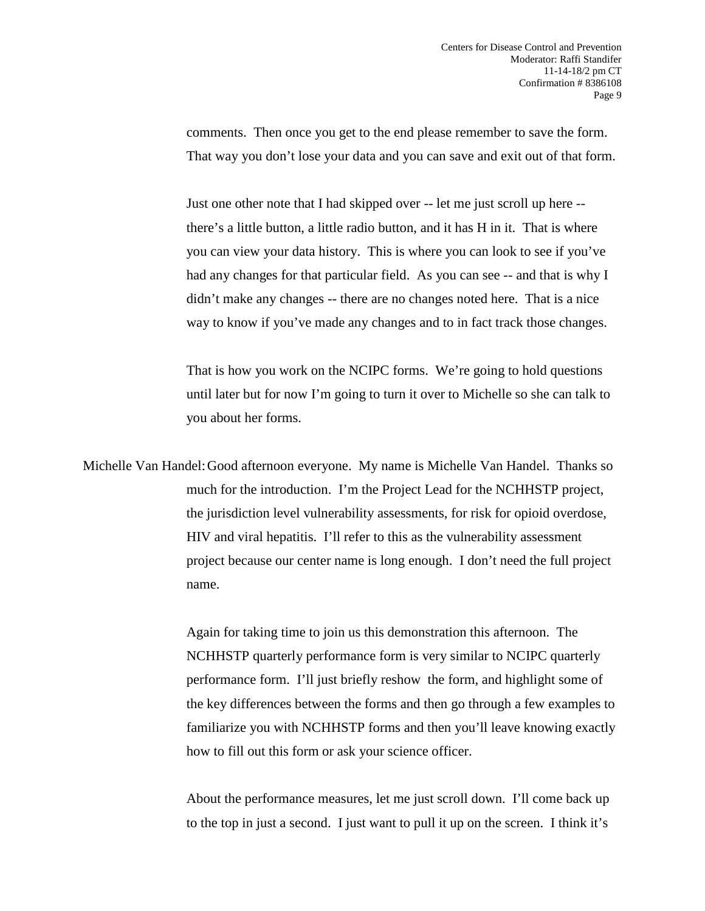comments. Then once you get to the end please remember to save the form. That way you don't lose your data and you can save and exit out of that form.

Just one other note that I had skipped over -- let me just scroll up here - there's a little button, a little radio button, and it has H in it. That is where you can view your data history. This is where you can look to see if you've had any changes for that particular field. As you can see -- and that is why I didn't make any changes -- there are no changes noted here. That is a nice way to know if you've made any changes and to in fact track those changes.

That is how you work on the NCIPC forms. We're going to hold questions until later but for now I'm going to turn it over to Michelle so she can talk to you about her forms.

Michelle Van Handel:Good afternoon everyone. My name is Michelle Van Handel. Thanks so much for the introduction. I'm the Project Lead for the NCHHSTP project, the jurisdiction level vulnerability assessments, for risk for opioid overdose, HIV and viral hepatitis. I'll refer to this as the vulnerability assessment project because our center name is long enough. I don't need the full project name.

> Again for taking time to join us this demonstration this afternoon. The NCHHSTP quarterly performance form is very similar to NCIPC quarterly performance form. I'll just briefly reshow the form, and highlight some of the key differences between the forms and then go through a few examples to familiarize you with NCHHSTP forms and then you'll leave knowing exactly how to fill out this form or ask your science officer.

About the performance measures, let me just scroll down. I'll come back up to the top in just a second. I just want to pull it up on the screen. I think it's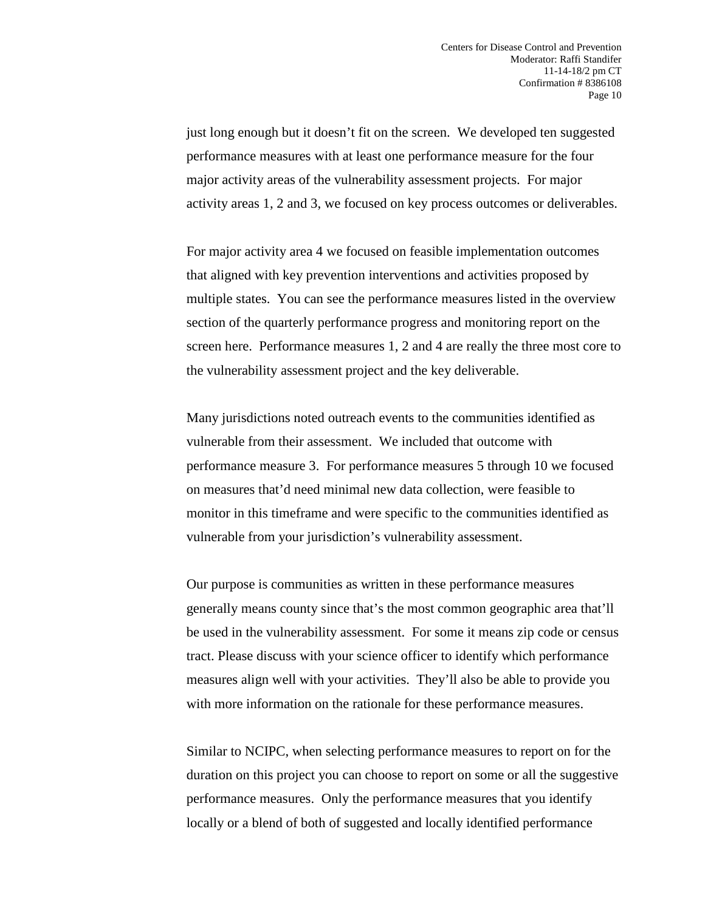just long enough but it doesn't fit on the screen. We developed ten suggested performance measures with at least one performance measure for the four major activity areas of the vulnerability assessment projects. For major activity areas 1, 2 and 3, we focused on key process outcomes or deliverables.

For major activity area 4 we focused on feasible implementation outcomes that aligned with key prevention interventions and activities proposed by multiple states. You can see the performance measures listed in the overview section of the quarterly performance progress and monitoring report on the screen here. Performance measures 1, 2 and 4 are really the three most core to the vulnerability assessment project and the key deliverable.

Many jurisdictions noted outreach events to the communities identified as vulnerable from their assessment. We included that outcome with performance measure 3. For performance measures 5 through 10 we focused on measures that'd need minimal new data collection, were feasible to monitor in this timeframe and were specific to the communities identified as vulnerable from your jurisdiction's vulnerability assessment.

Our purpose is communities as written in these performance measures generally means county since that's the most common geographic area that'll be used in the vulnerability assessment. For some it means zip code or census tract. Please discuss with your science officer to identify which performance measures align well with your activities. They'll also be able to provide you with more information on the rationale for these performance measures.

Similar to NCIPC, when selecting performance measures to report on for the duration on this project you can choose to report on some or all the suggestive performance measures. Only the performance measures that you identify locally or a blend of both of suggested and locally identified performance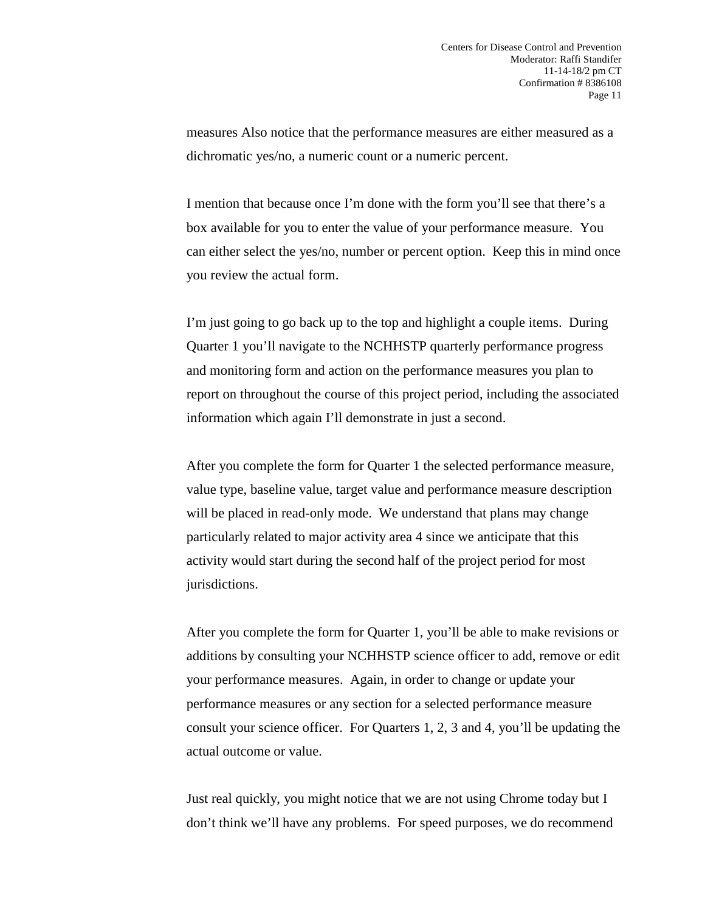measures Also notice that the performance measures are either measured as a dichromatic yes/no, a numeric count or a numeric percent.

I mention that because once I'm done with the form you'll see that there's a box available for you to enter the value of your performance measure. You can either select the yes/no, number or percent option. Keep this in mind once you review the actual form.

I'm just going to go back up to the top and highlight a couple items. During Quarter 1 you'll navigate to the NCHHSTP quarterly performance progress and monitoring form and action on the performance measures you plan to report on throughout the course of this project period, including the associated information which again I'll demonstrate in just a second.

After you complete the form for Quarter 1 the selected performance measure, value type, baseline value, target value and performance measure description will be placed in read-only mode. We understand that plans may change particularly related to major activity area 4 since we anticipate that this activity would start during the second half of the project period for most jurisdictions.

After you complete the form for Quarter 1, you'll be able to make revisions or additions by consulting your NCHHSTP science officer to add, remove or edit your performance measures. Again, in order to change or update your performance measures or any section for a selected performance measure consult your science officer. For Quarters 1, 2, 3 and 4, you'll be updating the actual outcome or value.

Just real quickly, you might notice that we are not using Chrome today but I don't think we'll have any problems. For speed purposes, we do recommend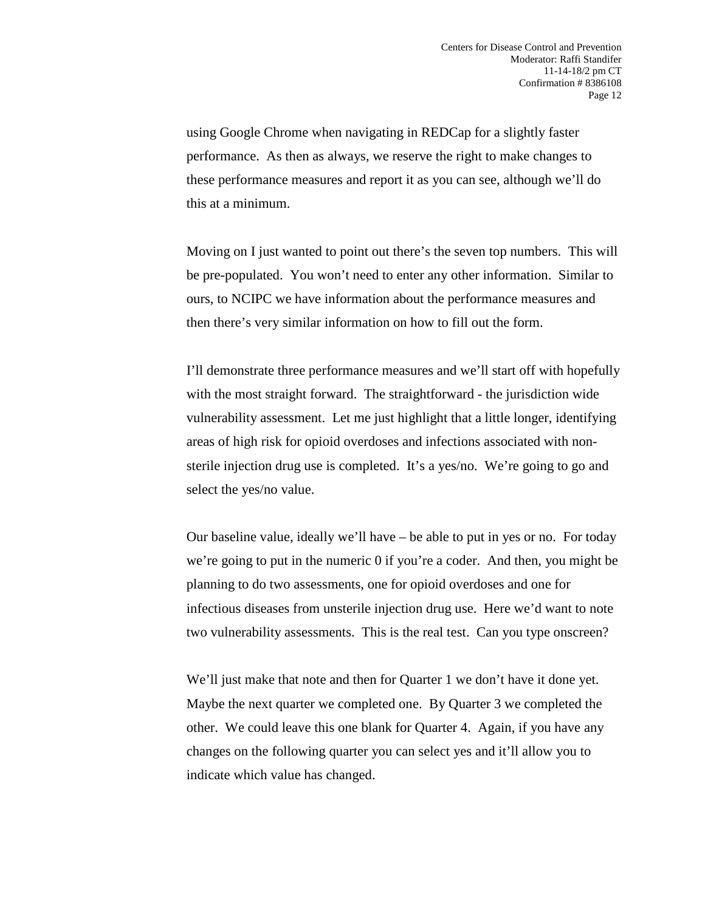using Google Chrome when navigating in REDCap for a slightly faster performance. As then as always, we reserve the right to make changes to these performance measures and report it as you can see, although we'll do this at a minimum.

Moving on I just wanted to point out there's the seven top numbers. This will be pre-populated. You won't need to enter any other information. Similar to ours, to NCIPC we have information about the performance measures and then there's very similar information on how to fill out the form.

I'll demonstrate three performance measures and we'll start off with hopefully with the most straight forward. The straightforward - the jurisdiction wide vulnerability assessment. Let me just highlight that a little longer, identifying areas of high risk for opioid overdoses and infections associated with nonsterile injection drug use is completed. It's a yes/no. We're going to go and select the yes/no value.

Our baseline value, ideally we'll have – be able to put in yes or no. For today we're going to put in the numeric 0 if you're a coder. And then, you might be planning to do two assessments, one for opioid overdoses and one for infectious diseases from unsterile injection drug use. Here we'd want to note two vulnerability assessments. This is the real test. Can you type onscreen?

We'll just make that note and then for Quarter 1 we don't have it done yet. Maybe the next quarter we completed one. By Quarter 3 we completed the other. We could leave this one blank for Quarter 4. Again, if you have any changes on the following quarter you can select yes and it'll allow you to indicate which value has changed.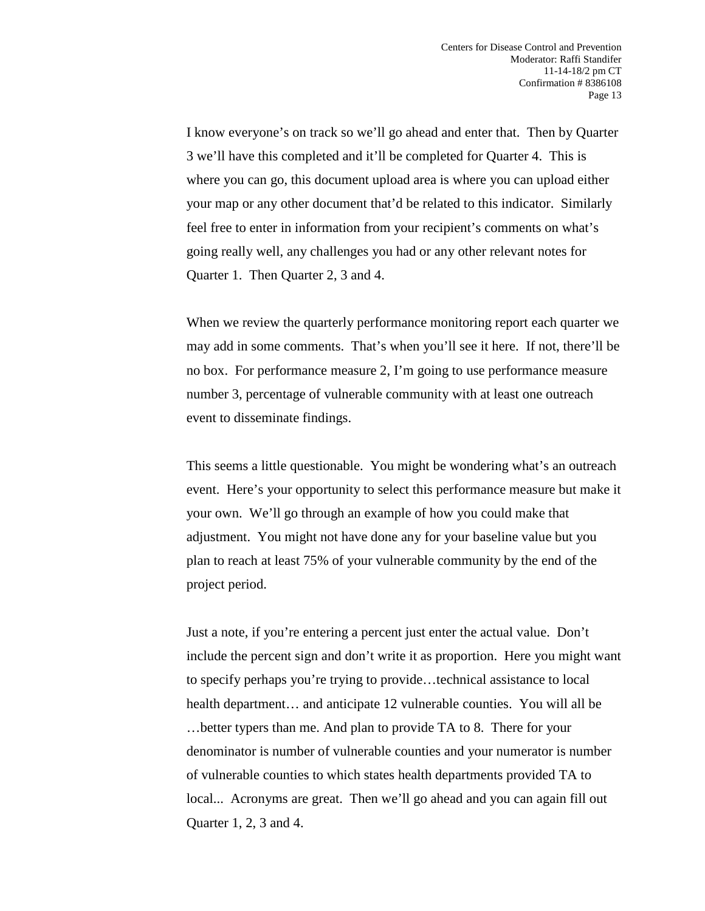I know everyone's on track so we'll go ahead and enter that. Then by Quarter 3 we'll have this completed and it'll be completed for Quarter 4. This is where you can go, this document upload area is where you can upload either your map or any other document that'd be related to this indicator. Similarly feel free to enter in information from your recipient's comments on what's going really well, any challenges you had or any other relevant notes for Quarter 1. Then Quarter 2, 3 and 4.

When we review the quarterly performance monitoring report each quarter we may add in some comments. That's when you'll see it here. If not, there'll be no box. For performance measure 2, I'm going to use performance measure number 3, percentage of vulnerable community with at least one outreach event to disseminate findings.

This seems a little questionable. You might be wondering what's an outreach event. Here's your opportunity to select this performance measure but make it your own. We'll go through an example of how you could make that adjustment. You might not have done any for your baseline value but you plan to reach at least 75% of your vulnerable community by the end of the project period.

Just a note, if you're entering a percent just enter the actual value. Don't include the percent sign and don't write it as proportion. Here you might want to specify perhaps you're trying to provide…technical assistance to local health department... and anticipate 12 vulnerable counties. You will all be …better typers than me. And plan to provide TA to 8. There for your denominator is number of vulnerable counties and your numerator is number of vulnerable counties to which states health departments provided TA to local... Acronyms are great. Then we'll go ahead and you can again fill out Quarter 1, 2, 3 and 4.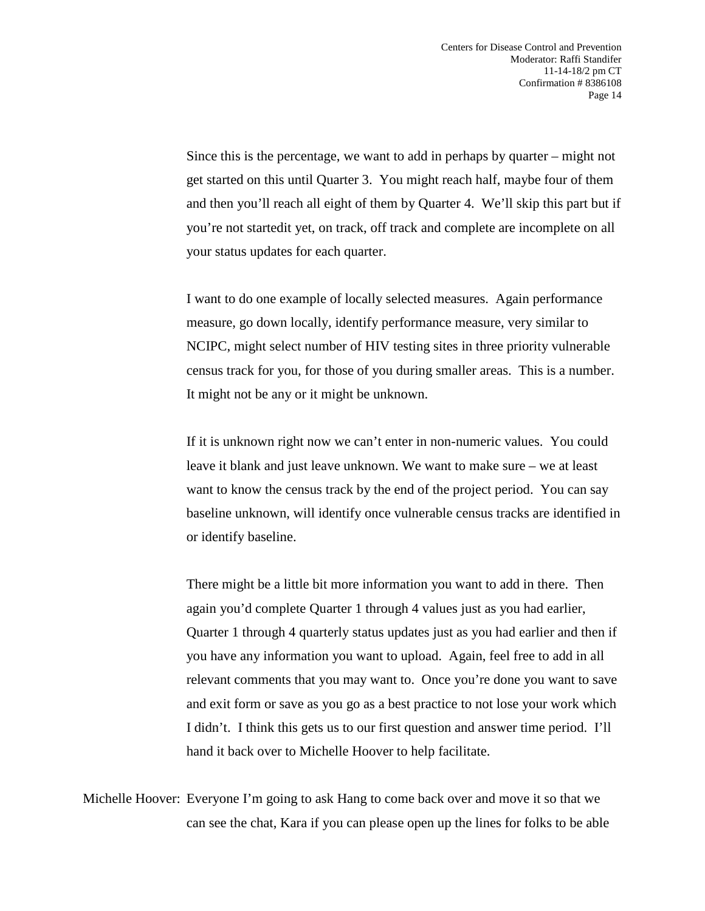Since this is the percentage, we want to add in perhaps by quarter – might not get started on this until Quarter 3. You might reach half, maybe four of them and then you'll reach all eight of them by Quarter 4. We'll skip this part but if you're not startedit yet, on track, off track and complete are incomplete on all your status updates for each quarter.

I want to do one example of locally selected measures. Again performance measure, go down locally, identify performance measure, very similar to NCIPC, might select number of HIV testing sites in three priority vulnerable census track for you, for those of you during smaller areas. This is a number. It might not be any or it might be unknown.

If it is unknown right now we can't enter in non-numeric values. You could leave it blank and just leave unknown. We want to make sure – we at least want to know the census track by the end of the project period. You can say baseline unknown, will identify once vulnerable census tracks are identified in or identify baseline.

There might be a little bit more information you want to add in there. Then again you'd complete Quarter 1 through 4 values just as you had earlier, Quarter 1 through 4 quarterly status updates just as you had earlier and then if you have any information you want to upload. Again, feel free to add in all relevant comments that you may want to. Once you're done you want to save and exit form or save as you go as a best practice to not lose your work which I didn't. I think this gets us to our first question and answer time period. I'll hand it back over to Michelle Hoover to help facilitate.

Michelle Hoover: Everyone I'm going to ask Hang to come back over and move it so that we can see the chat, Kara if you can please open up the lines for folks to be able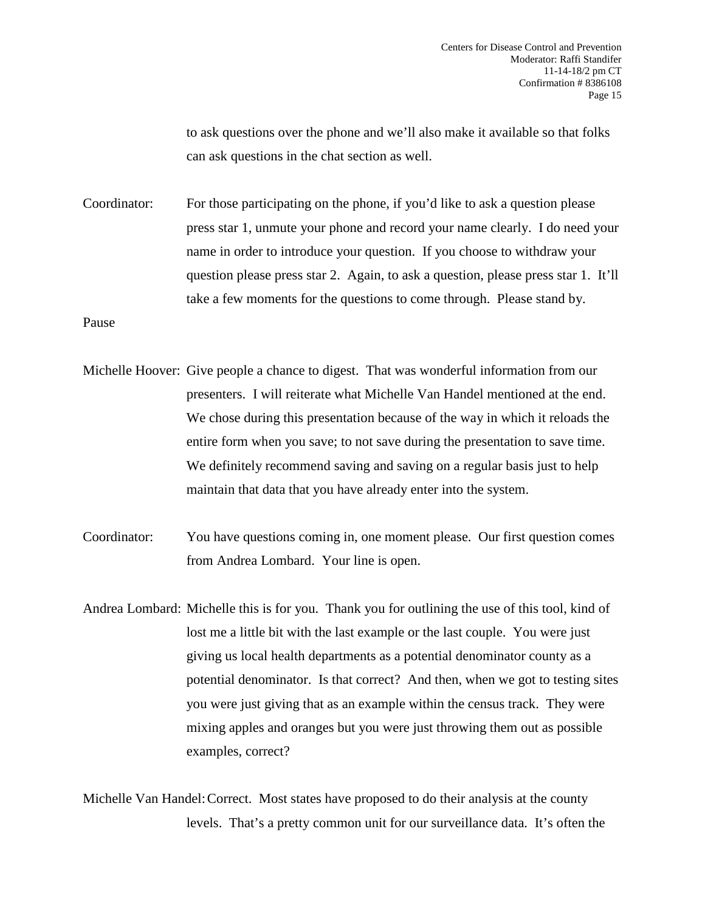to ask questions over the phone and we'll also make it available so that folks can ask questions in the chat section as well.

Coordinator: For those participating on the phone, if you'd like to ask a question please press star 1, unmute your phone and record your name clearly. I do need your name in order to introduce your question. If you choose to withdraw your question please press star 2. Again, to ask a question, please press star 1. It'll take a few moments for the questions to come through. Please stand by.

Pause

- Michelle Hoover: Give people a chance to digest. That was wonderful information from our presenters. I will reiterate what Michelle Van Handel mentioned at the end. We chose during this presentation because of the way in which it reloads the entire form when you save; to not save during the presentation to save time. We definitely recommend saving and saving on a regular basis just to help maintain that data that you have already enter into the system.
- Coordinator: You have questions coming in, one moment please. Our first question comes from Andrea Lombard. Your line is open.
- Andrea Lombard: Michelle this is for you. Thank you for outlining the use of this tool, kind of lost me a little bit with the last example or the last couple. You were just giving us local health departments as a potential denominator county as a potential denominator. Is that correct? And then, when we got to testing sites you were just giving that as an example within the census track. They were mixing apples and oranges but you were just throwing them out as possible examples, correct?

Michelle Van Handel:Correct. Most states have proposed to do their analysis at the county levels. That's a pretty common unit for our surveillance data. It's often the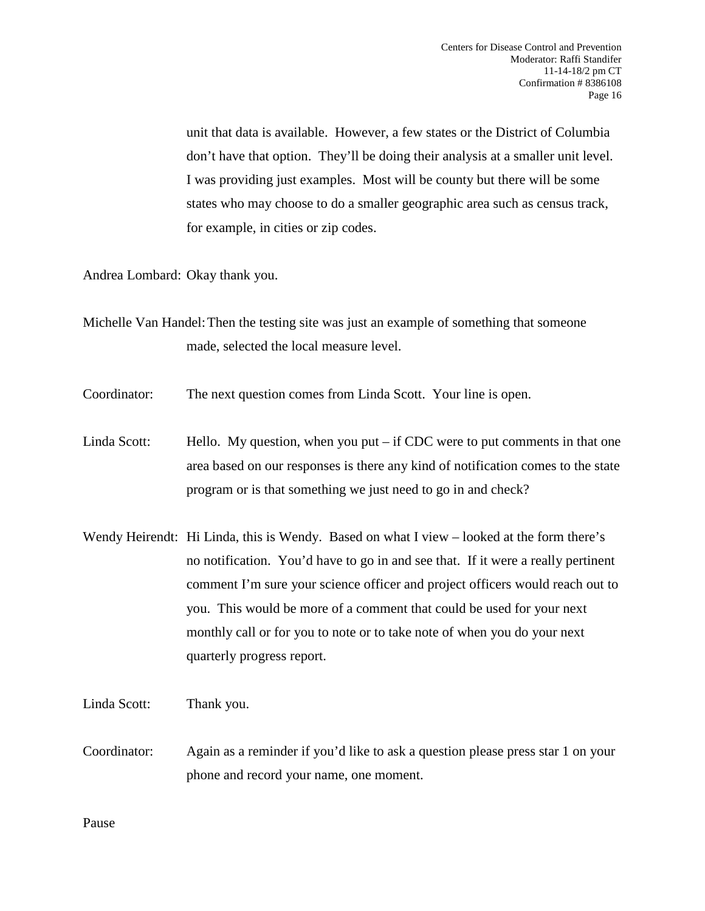unit that data is available. However, a few states or the District of Columbia don't have that option. They'll be doing their analysis at a smaller unit level. I was providing just examples. Most will be county but there will be some states who may choose to do a smaller geographic area such as census track, for example, in cities or zip codes.

Andrea Lombard: Okay thank you.

- Michelle Van Handel:Then the testing site was just an example of something that someone made, selected the local measure level.
- Coordinator: The next question comes from Linda Scott. Your line is open.
- Linda Scott: Hello. My question, when you put if CDC were to put comments in that one area based on our responses is there any kind of notification comes to the state program or is that something we just need to go in and check?
- Wendy Heirendt: Hi Linda, this is Wendy. Based on what I view looked at the form there's no notification. You'd have to go in and see that. If it were a really pertinent comment I'm sure your science officer and project officers would reach out to you. This would be more of a comment that could be used for your next monthly call or for you to note or to take note of when you do your next quarterly progress report.
- Linda Scott: Thank you.
- Coordinator: Again as a reminder if you'd like to ask a question please press star 1 on your phone and record your name, one moment.

Pause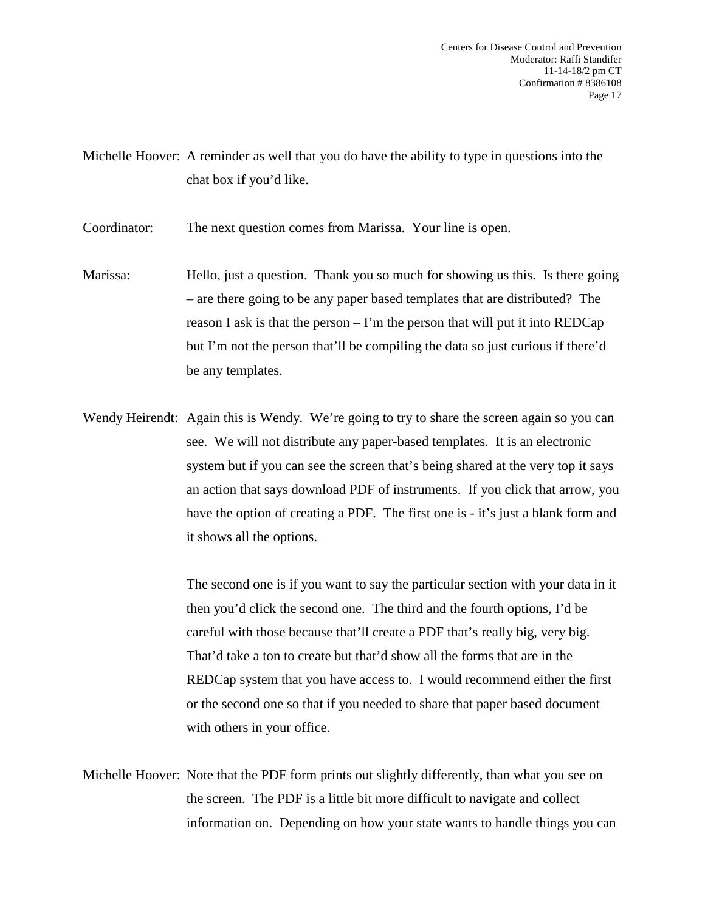Michelle Hoover: A reminder as well that you do have the ability to type in questions into the chat box if you'd like.

Coordinator: The next question comes from Marissa. Your line is open.

- Marissa: Hello, just a question. Thank you so much for showing us this. Is there going – are there going to be any paper based templates that are distributed? The reason I ask is that the person – I'm the person that will put it into  $REDCap$ but I'm not the person that'll be compiling the data so just curious if there'd be any templates.
- Wendy Heirendt: Again this is Wendy. We're going to try to share the screen again so you can see. We will not distribute any paper-based templates. It is an electronic system but if you can see the screen that's being shared at the very top it says an action that says download PDF of instruments. If you click that arrow, you have the option of creating a PDF. The first one is - it's just a blank form and it shows all the options.

The second one is if you want to say the particular section with your data in it then you'd click the second one. The third and the fourth options, I'd be careful with those because that'll create a PDF that's really big, very big. That'd take a ton to create but that'd show all the forms that are in the REDCap system that you have access to. I would recommend either the first or the second one so that if you needed to share that paper based document with others in your office.

Michelle Hoover: Note that the PDF form prints out slightly differently, than what you see on the screen. The PDF is a little bit more difficult to navigate and collect information on. Depending on how your state wants to handle things you can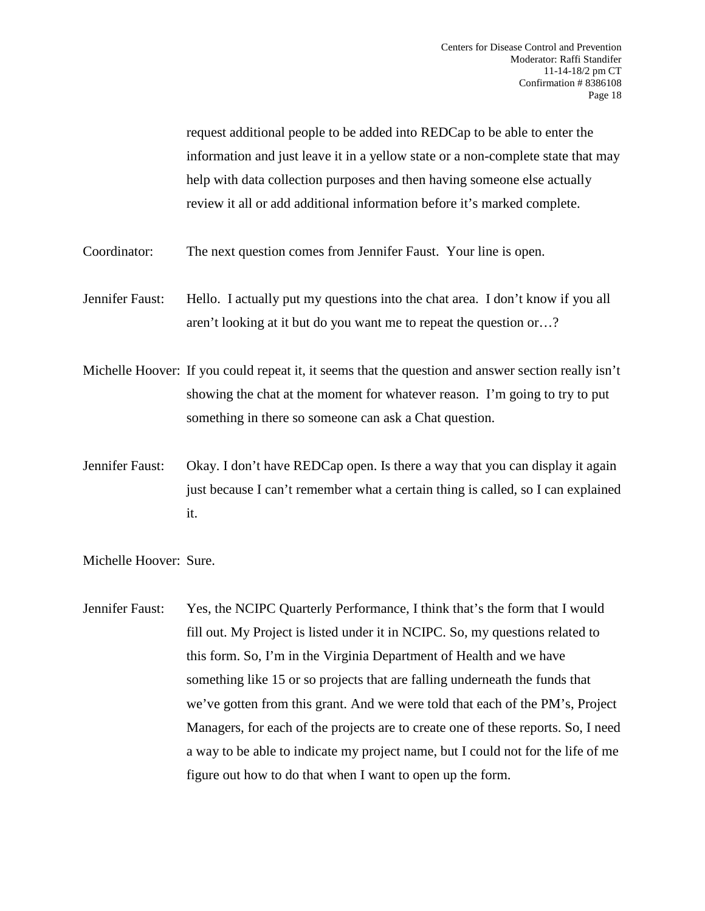request additional people to be added into REDCap to be able to enter the information and just leave it in a yellow state or a non-complete state that may help with data collection purposes and then having someone else actually review it all or add additional information before it's marked complete.

- Coordinator: The next question comes from Jennifer Faust. Your line is open.
- Jennifer Faust: Hello. I actually put my questions into the chat area. I don't know if you all aren't looking at it but do you want me to repeat the question or…?
- Michelle Hoover: If you could repeat it, it seems that the question and answer section really isn't showing the chat at the moment for whatever reason. I'm going to try to put something in there so someone can ask a Chat question.
- Jennifer Faust: Okay. I don't have REDCap open. Is there a way that you can display it again just because I can't remember what a certain thing is called, so I can explained it.

Michelle Hoover: Sure.

Jennifer Faust: Yes, the NCIPC Quarterly Performance, I think that's the form that I would fill out. My Project is listed under it in NCIPC. So, my questions related to this form. So, I'm in the Virginia Department of Health and we have something like 15 or so projects that are falling underneath the funds that we've gotten from this grant. And we were told that each of the PM's, Project Managers, for each of the projects are to create one of these reports. So, I need a way to be able to indicate my project name, but I could not for the life of me figure out how to do that when I want to open up the form.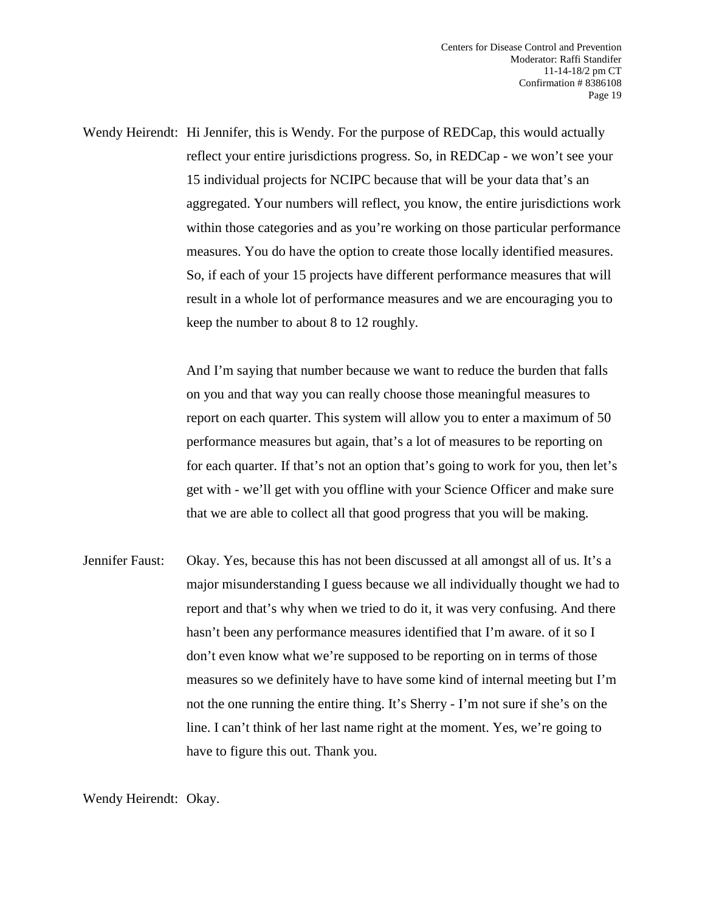Wendy Heirendt: Hi Jennifer, this is Wendy. For the purpose of REDCap, this would actually reflect your entire jurisdictions progress. So, in REDCap - we won't see your 15 individual projects for NCIPC because that will be your data that's an aggregated. Your numbers will reflect, you know, the entire jurisdictions work within those categories and as you're working on those particular performance measures. You do have the option to create those locally identified measures. So, if each of your 15 projects have different performance measures that will result in a whole lot of performance measures and we are encouraging you to keep the number to about 8 to 12 roughly.

> And I'm saying that number because we want to reduce the burden that falls on you and that way you can really choose those meaningful measures to report on each quarter. This system will allow you to enter a maximum of 50 performance measures but again, that's a lot of measures to be reporting on for each quarter. If that's not an option that's going to work for you, then let's get with - we'll get with you offline with your Science Officer and make sure that we are able to collect all that good progress that you will be making.

Jennifer Faust: Okay. Yes, because this has not been discussed at all amongst all of us. It's a major misunderstanding I guess because we all individually thought we had to report and that's why when we tried to do it, it was very confusing. And there hasn't been any performance measures identified that I'm aware. of it so I don't even know what we're supposed to be reporting on in terms of those measures so we definitely have to have some kind of internal meeting but I'm not the one running the entire thing. It's Sherry - I'm not sure if she's on the line. I can't think of her last name right at the moment. Yes, we're going to have to figure this out. Thank you.

Wendy Heirendt: Okay.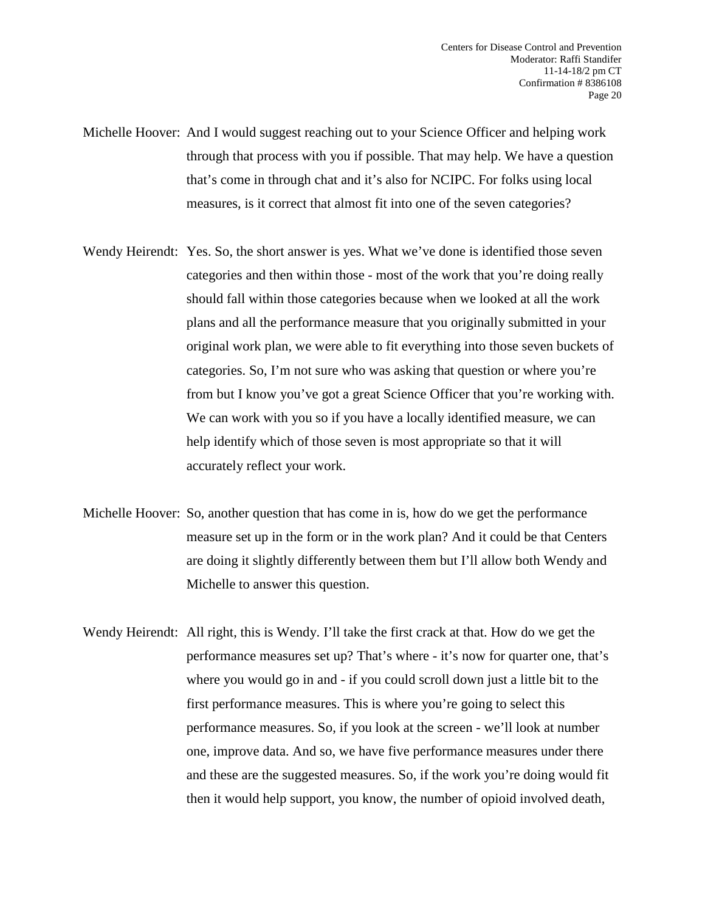- Michelle Hoover: And I would suggest reaching out to your Science Officer and helping work through that process with you if possible. That may help. We have a question that's come in through chat and it's also for NCIPC. For folks using local measures, is it correct that almost fit into one of the seven categories?
- Wendy Heirendt: Yes. So, the short answer is yes. What we've done is identified those seven categories and then within those - most of the work that you're doing really should fall within those categories because when we looked at all the work plans and all the performance measure that you originally submitted in your original work plan, we were able to fit everything into those seven buckets of categories. So, I'm not sure who was asking that question or where you're from but I know you've got a great Science Officer that you're working with. We can work with you so if you have a locally identified measure, we can help identify which of those seven is most appropriate so that it will accurately reflect your work.
- Michelle Hoover: So, another question that has come in is, how do we get the performance measure set up in the form or in the work plan? And it could be that Centers are doing it slightly differently between them but I'll allow both Wendy and Michelle to answer this question.
- Wendy Heirendt: All right, this is Wendy. I'll take the first crack at that. How do we get the performance measures set up? That's where - it's now for quarter one, that's where you would go in and - if you could scroll down just a little bit to the first performance measures. This is where you're going to select this performance measures. So, if you look at the screen - we'll look at number one, improve data. And so, we have five performance measures under there and these are the suggested measures. So, if the work you're doing would fit then it would help support, you know, the number of opioid involved death,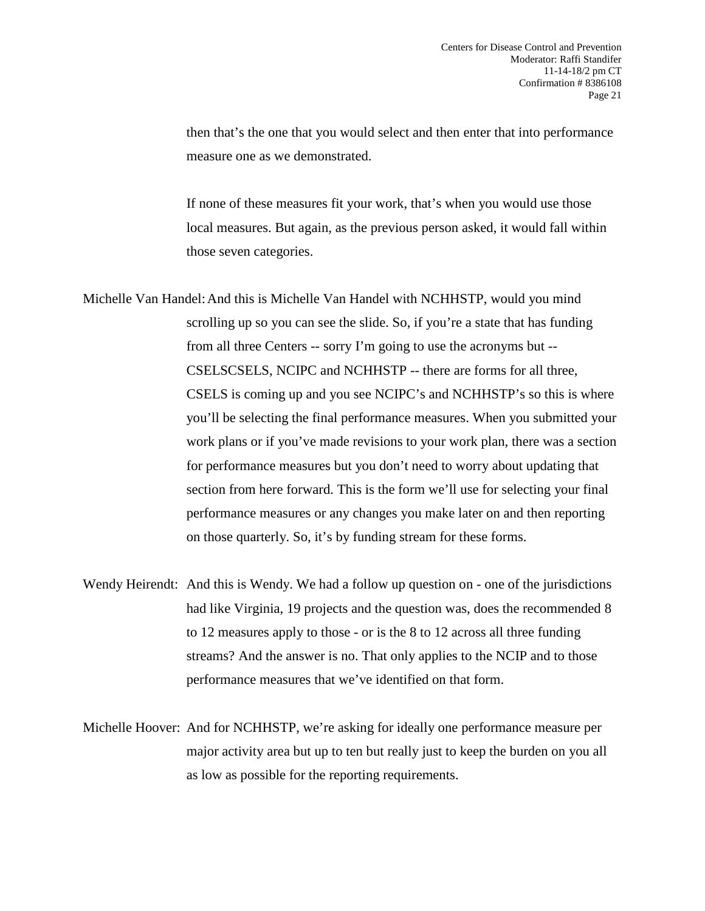then that's the one that you would select and then enter that into performance measure one as we demonstrated.

If none of these measures fit your work, that's when you would use those local measures. But again, as the previous person asked, it would fall within those seven categories.

Michelle Van Handel:And this is Michelle Van Handel with NCHHSTP, would you mind scrolling up so you can see the slide. So, if you're a state that has funding from all three Centers -- sorry I'm going to use the acronyms but -- CSELSCSELS, NCIPC and NCHHSTP -- there are forms for all three, CSELS is coming up and you see NCIPC's and NCHHSTP's so this is where you'll be selecting the final performance measures. When you submitted your work plans or if you've made revisions to your work plan, there was a section for performance measures but you don't need to worry about updating that section from here forward. This is the form we'll use for selecting your final performance measures or any changes you make later on and then reporting on those quarterly. So, it's by funding stream for these forms.

Wendy Heirendt: And this is Wendy. We had a follow up question on - one of the jurisdictions had like Virginia, 19 projects and the question was, does the recommended 8 to 12 measures apply to those - or is the 8 to 12 across all three funding streams? And the answer is no. That only applies to the NCIP and to those performance measures that we've identified on that form.

Michelle Hoover: And for NCHHSTP, we're asking for ideally one performance measure per major activity area but up to ten but really just to keep the burden on you all as low as possible for the reporting requirements.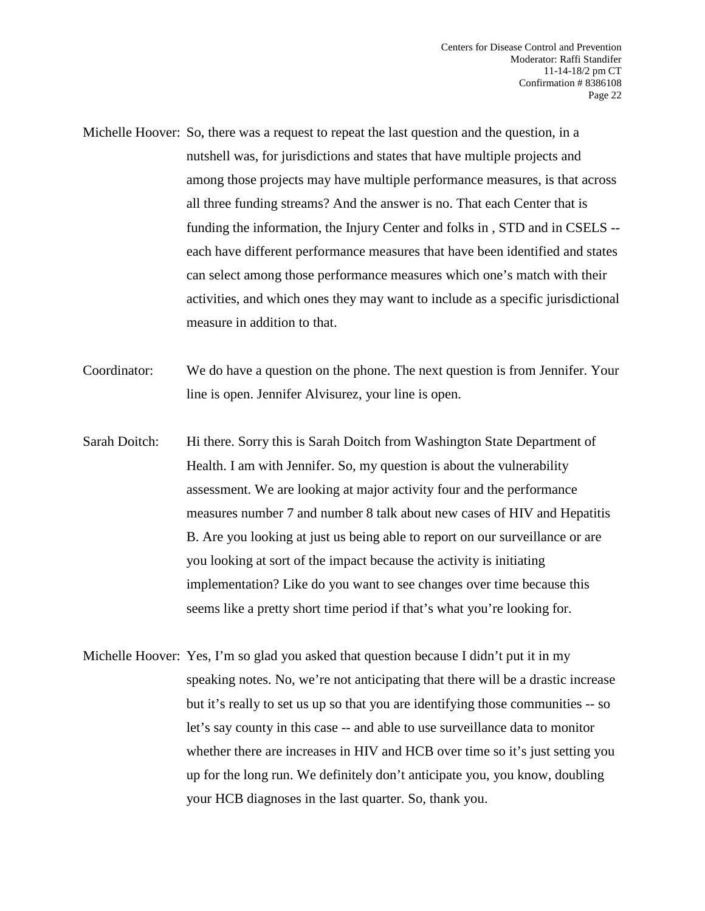- Michelle Hoover: So, there was a request to repeat the last question and the question, in a nutshell was, for jurisdictions and states that have multiple projects and among those projects may have multiple performance measures, is that across all three funding streams? And the answer is no. That each Center that is funding the information, the Injury Center and folks in , STD and in CSELS - each have different performance measures that have been identified and states can select among those performance measures which one's match with their activities, and which ones they may want to include as a specific jurisdictional measure in addition to that.
- Coordinator: We do have a question on the phone. The next question is from Jennifer. Your line is open. Jennifer Alvisurez, your line is open.
- Sarah Doitch: Hi there. Sorry this is Sarah Doitch from Washington State Department of Health. I am with Jennifer. So, my question is about the vulnerability assessment. We are looking at major activity four and the performance measures number 7 and number 8 talk about new cases of HIV and Hepatitis B. Are you looking at just us being able to report on our surveillance or are you looking at sort of the impact because the activity is initiating implementation? Like do you want to see changes over time because this seems like a pretty short time period if that's what you're looking for.
- Michelle Hoover: Yes, I'm so glad you asked that question because I didn't put it in my speaking notes. No, we're not anticipating that there will be a drastic increase but it's really to set us up so that you are identifying those communities -- so let's say county in this case -- and able to use surveillance data to monitor whether there are increases in HIV and HCB over time so it's just setting you up for the long run. We definitely don't anticipate you, you know, doubling your HCB diagnoses in the last quarter. So, thank you.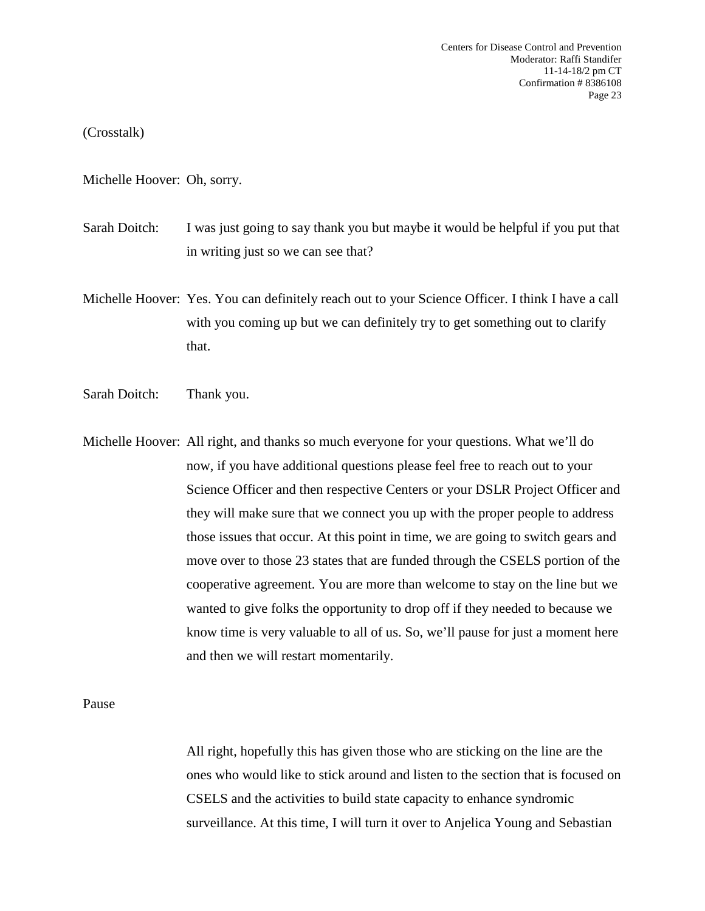(Crosstalk)

Michelle Hoover: Oh, sorry.

Sarah Doitch: I was just going to say thank you but maybe it would be helpful if you put that in writing just so we can see that?

Michelle Hoover: Yes. You can definitely reach out to your Science Officer. I think I have a call with you coming up but we can definitely try to get something out to clarify that.

Sarah Doitch: Thank you.

Michelle Hoover: All right, and thanks so much everyone for your questions. What we'll do now, if you have additional questions please feel free to reach out to your Science Officer and then respective Centers or your DSLR Project Officer and they will make sure that we connect you up with the proper people to address those issues that occur. At this point in time, we are going to switch gears and move over to those 23 states that are funded through the CSELS portion of the cooperative agreement. You are more than welcome to stay on the line but we wanted to give folks the opportunity to drop off if they needed to because we know time is very valuable to all of us. So, we'll pause for just a moment here and then we will restart momentarily.

Pause

All right, hopefully this has given those who are sticking on the line are the ones who would like to stick around and listen to the section that is focused on CSELS and the activities to build state capacity to enhance syndromic surveillance. At this time, I will turn it over to Anjelica Young and Sebastian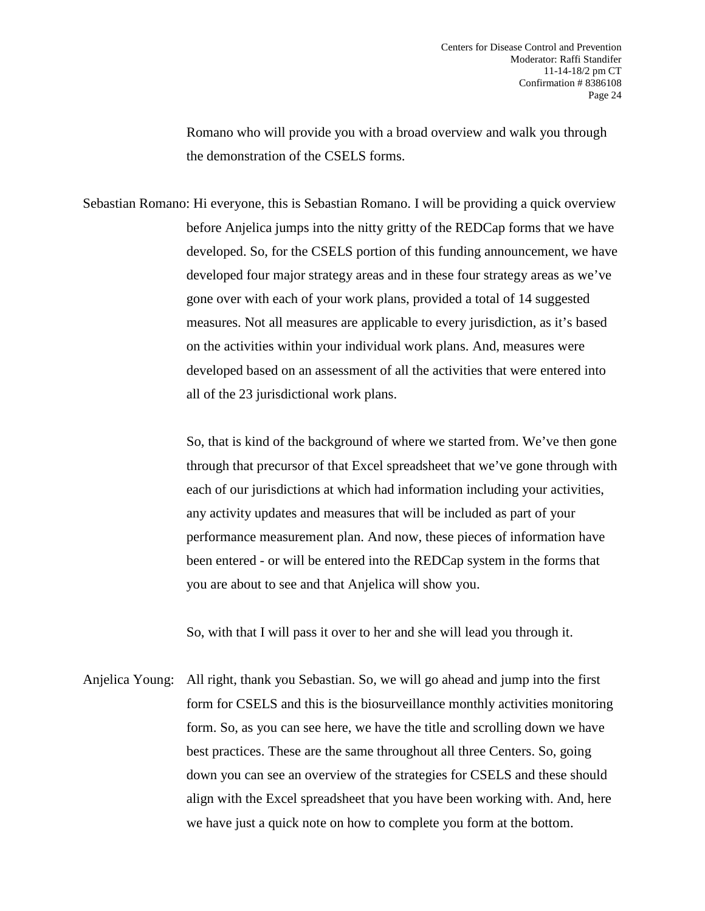Romano who will provide you with a broad overview and walk you through the demonstration of the CSELS forms.

Sebastian Romano: Hi everyone, this is Sebastian Romano. I will be providing a quick overview before Anjelica jumps into the nitty gritty of the REDCap forms that we have developed. So, for the CSELS portion of this funding announcement, we have developed four major strategy areas and in these four strategy areas as we've gone over with each of your work plans, provided a total of 14 suggested measures. Not all measures are applicable to every jurisdiction, as it's based on the activities within your individual work plans. And, measures were developed based on an assessment of all the activities that were entered into all of the 23 jurisdictional work plans.

> So, that is kind of the background of where we started from. We've then gone through that precursor of that Excel spreadsheet that we've gone through with each of our jurisdictions at which had information including your activities, any activity updates and measures that will be included as part of your performance measurement plan. And now, these pieces of information have been entered - or will be entered into the REDCap system in the forms that you are about to see and that Anjelica will show you.

So, with that I will pass it over to her and she will lead you through it.

Anjelica Young: All right, thank you Sebastian. So, we will go ahead and jump into the first form for CSELS and this is the biosurveillance monthly activities monitoring form. So, as you can see here, we have the title and scrolling down we have best practices. These are the same throughout all three Centers. So, going down you can see an overview of the strategies for CSELS and these should align with the Excel spreadsheet that you have been working with. And, here we have just a quick note on how to complete you form at the bottom.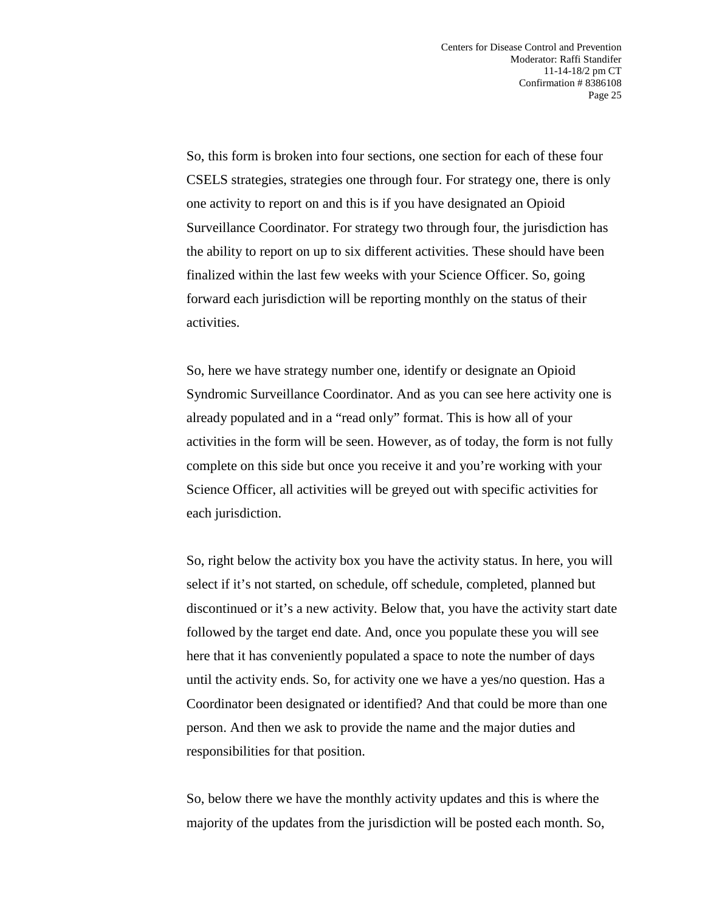So, this form is broken into four sections, one section for each of these four CSELS strategies, strategies one through four. For strategy one, there is only one activity to report on and this is if you have designated an Opioid Surveillance Coordinator. For strategy two through four, the jurisdiction has the ability to report on up to six different activities. These should have been finalized within the last few weeks with your Science Officer. So, going forward each jurisdiction will be reporting monthly on the status of their activities.

So, here we have strategy number one, identify or designate an Opioid Syndromic Surveillance Coordinator. And as you can see here activity one is already populated and in a "read only" format. This is how all of your activities in the form will be seen. However, as of today, the form is not fully complete on this side but once you receive it and you're working with your Science Officer, all activities will be greyed out with specific activities for each jurisdiction.

So, right below the activity box you have the activity status. In here, you will select if it's not started, on schedule, off schedule, completed, planned but discontinued or it's a new activity. Below that, you have the activity start date followed by the target end date. And, once you populate these you will see here that it has conveniently populated a space to note the number of days until the activity ends. So, for activity one we have a yes/no question. Has a Coordinator been designated or identified? And that could be more than one person. And then we ask to provide the name and the major duties and responsibilities for that position.

So, below there we have the monthly activity updates and this is where the majority of the updates from the jurisdiction will be posted each month. So,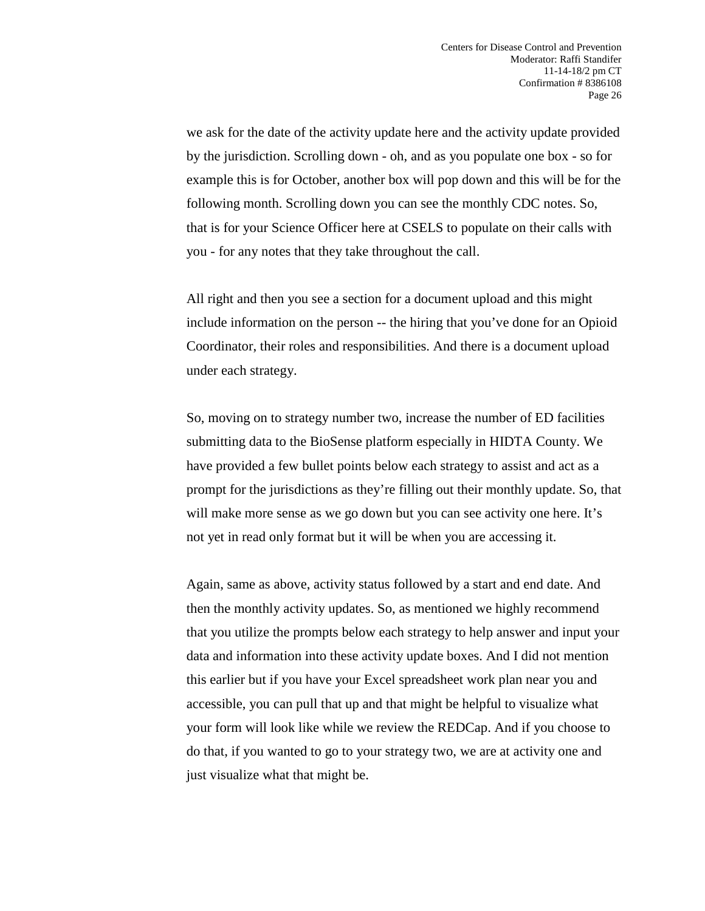we ask for the date of the activity update here and the activity update provided by the jurisdiction. Scrolling down - oh, and as you populate one box - so for example this is for October, another box will pop down and this will be for the following month. Scrolling down you can see the monthly CDC notes. So, that is for your Science Officer here at CSELS to populate on their calls with you - for any notes that they take throughout the call.

All right and then you see a section for a document upload and this might include information on the person -- the hiring that you've done for an Opioid Coordinator, their roles and responsibilities. And there is a document upload under each strategy.

So, moving on to strategy number two, increase the number of ED facilities submitting data to the BioSense platform especially in HIDTA County. We have provided a few bullet points below each strategy to assist and act as a prompt for the jurisdictions as they're filling out their monthly update. So, that will make more sense as we go down but you can see activity one here. It's not yet in read only format but it will be when you are accessing it.

Again, same as above, activity status followed by a start and end date. And then the monthly activity updates. So, as mentioned we highly recommend that you utilize the prompts below each strategy to help answer and input your data and information into these activity update boxes. And I did not mention this earlier but if you have your Excel spreadsheet work plan near you and accessible, you can pull that up and that might be helpful to visualize what your form will look like while we review the REDCap. And if you choose to do that, if you wanted to go to your strategy two, we are at activity one and just visualize what that might be.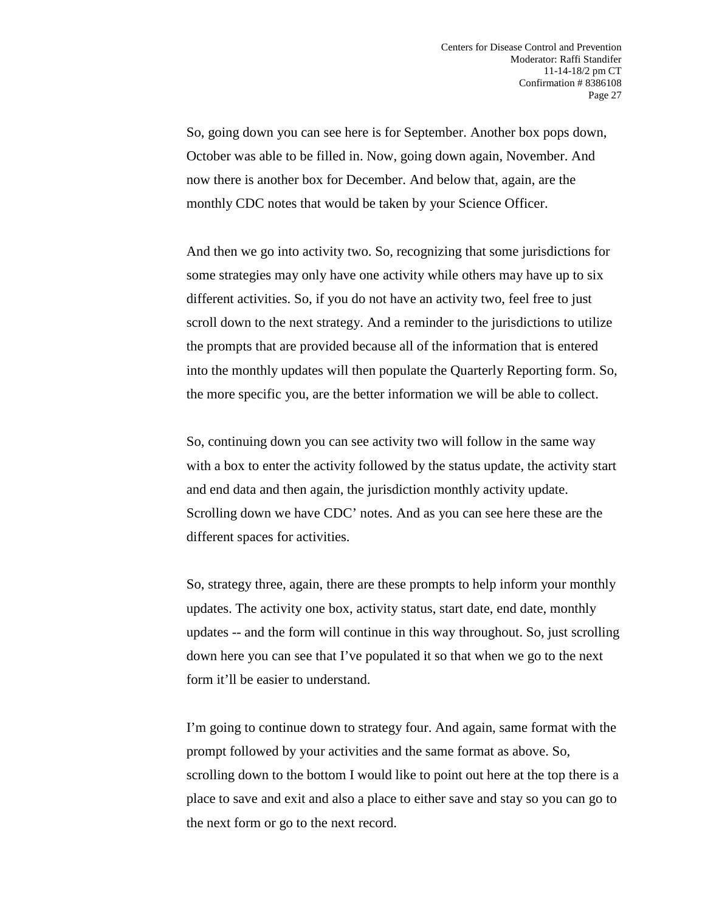So, going down you can see here is for September. Another box pops down, October was able to be filled in. Now, going down again, November. And now there is another box for December. And below that, again, are the monthly CDC notes that would be taken by your Science Officer.

And then we go into activity two. So, recognizing that some jurisdictions for some strategies may only have one activity while others may have up to six different activities. So, if you do not have an activity two, feel free to just scroll down to the next strategy. And a reminder to the jurisdictions to utilize the prompts that are provided because all of the information that is entered into the monthly updates will then populate the Quarterly Reporting form. So, the more specific you, are the better information we will be able to collect.

So, continuing down you can see activity two will follow in the same way with a box to enter the activity followed by the status update, the activity start and end data and then again, the jurisdiction monthly activity update. Scrolling down we have CDC' notes. And as you can see here these are the different spaces for activities.

So, strategy three, again, there are these prompts to help inform your monthly updates. The activity one box, activity status, start date, end date, monthly updates -- and the form will continue in this way throughout. So, just scrolling down here you can see that I've populated it so that when we go to the next form it'll be easier to understand.

I'm going to continue down to strategy four. And again, same format with the prompt followed by your activities and the same format as above. So, scrolling down to the bottom I would like to point out here at the top there is a place to save and exit and also a place to either save and stay so you can go to the next form or go to the next record.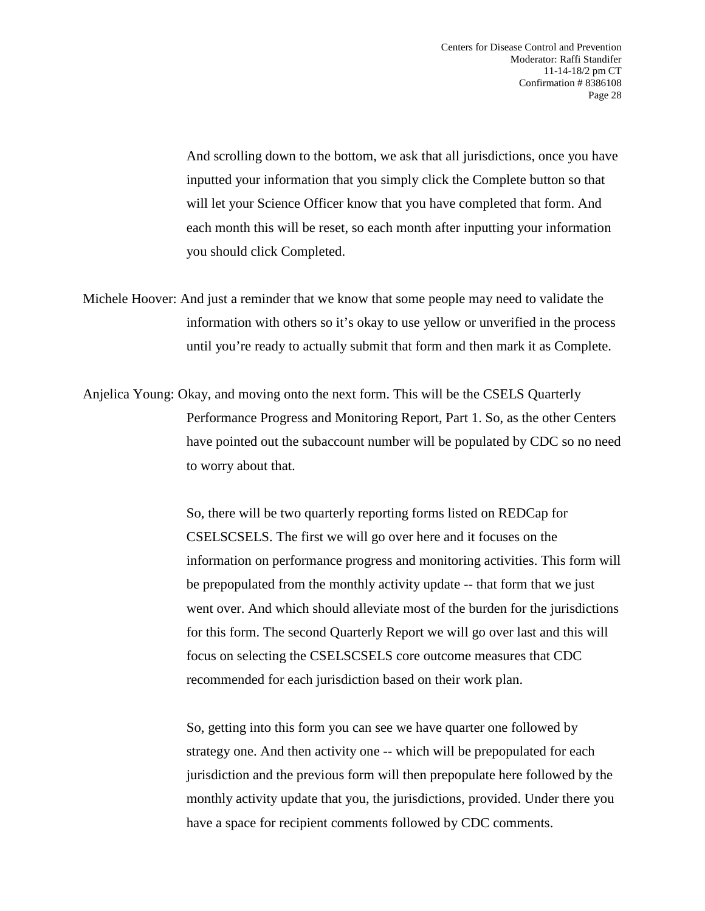And scrolling down to the bottom, we ask that all jurisdictions, once you have inputted your information that you simply click the Complete button so that will let your Science Officer know that you have completed that form. And each month this will be reset, so each month after inputting your information you should click Completed.

- Michele Hoover: And just a reminder that we know that some people may need to validate the information with others so it's okay to use yellow or unverified in the process until you're ready to actually submit that form and then mark it as Complete.
- Anjelica Young: Okay, and moving onto the next form. This will be the CSELS Quarterly Performance Progress and Monitoring Report, Part 1. So, as the other Centers have pointed out the subaccount number will be populated by CDC so no need to worry about that.

So, there will be two quarterly reporting forms listed on REDCap for CSELSCSELS. The first we will go over here and it focuses on the information on performance progress and monitoring activities. This form will be prepopulated from the monthly activity update -- that form that we just went over. And which should alleviate most of the burden for the jurisdictions for this form. The second Quarterly Report we will go over last and this will focus on selecting the CSELSCSELS core outcome measures that CDC recommended for each jurisdiction based on their work plan.

So, getting into this form you can see we have quarter one followed by strategy one. And then activity one -- which will be prepopulated for each jurisdiction and the previous form will then prepopulate here followed by the monthly activity update that you, the jurisdictions, provided. Under there you have a space for recipient comments followed by CDC comments.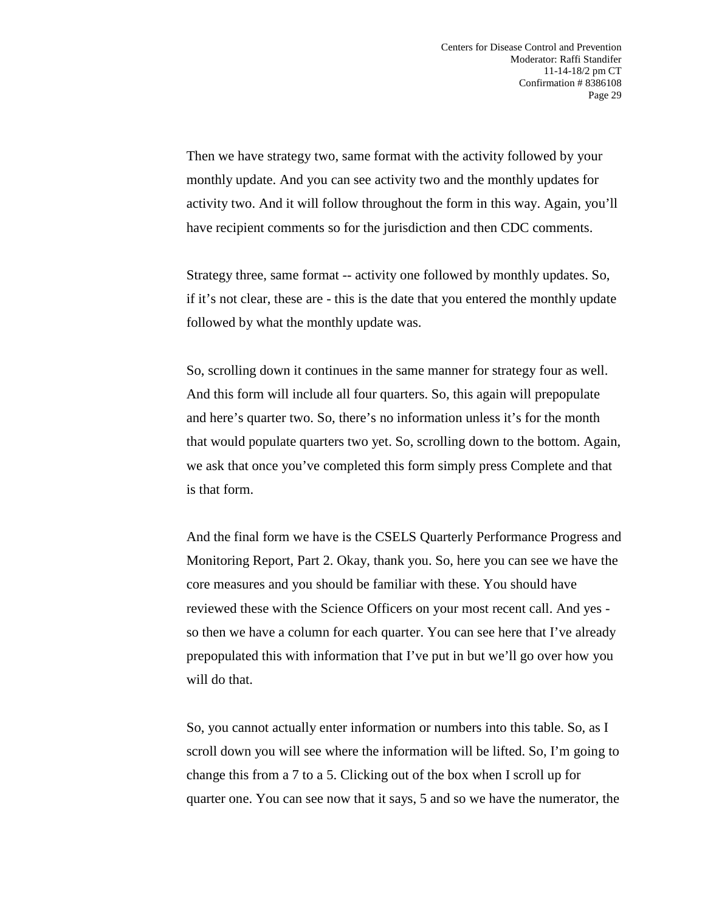Then we have strategy two, same format with the activity followed by your monthly update. And you can see activity two and the monthly updates for activity two. And it will follow throughout the form in this way. Again, you'll have recipient comments so for the jurisdiction and then CDC comments.

Strategy three, same format -- activity one followed by monthly updates. So, if it's not clear, these are - this is the date that you entered the monthly update followed by what the monthly update was.

So, scrolling down it continues in the same manner for strategy four as well. And this form will include all four quarters. So, this again will prepopulate and here's quarter two. So, there's no information unless it's for the month that would populate quarters two yet. So, scrolling down to the bottom. Again, we ask that once you've completed this form simply press Complete and that is that form.

And the final form we have is the CSELS Quarterly Performance Progress and Monitoring Report, Part 2. Okay, thank you. So, here you can see we have the core measures and you should be familiar with these. You should have reviewed these with the Science Officers on your most recent call. And yes so then we have a column for each quarter. You can see here that I've already prepopulated this with information that I've put in but we'll go over how you will do that.

So, you cannot actually enter information or numbers into this table. So, as I scroll down you will see where the information will be lifted. So, I'm going to change this from a 7 to a 5. Clicking out of the box when I scroll up for quarter one. You can see now that it says, 5 and so we have the numerator, the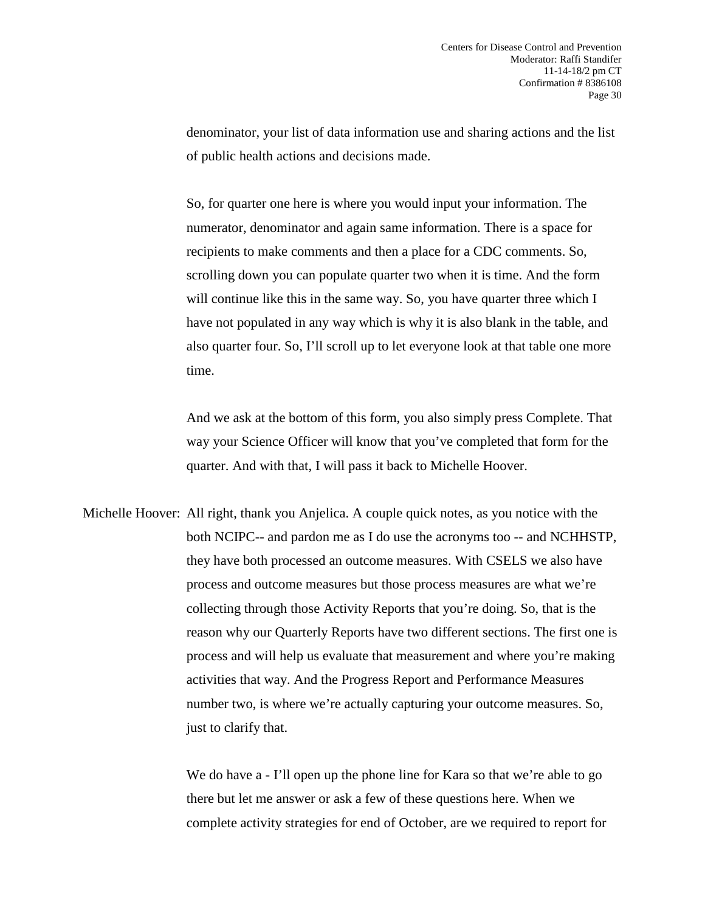denominator, your list of data information use and sharing actions and the list of public health actions and decisions made.

So, for quarter one here is where you would input your information. The numerator, denominator and again same information. There is a space for recipients to make comments and then a place for a CDC comments. So, scrolling down you can populate quarter two when it is time. And the form will continue like this in the same way. So, you have quarter three which I have not populated in any way which is why it is also blank in the table, and also quarter four. So, I'll scroll up to let everyone look at that table one more time.

And we ask at the bottom of this form, you also simply press Complete. That way your Science Officer will know that you've completed that form for the quarter. And with that, I will pass it back to Michelle Hoover.

Michelle Hoover: All right, thank you Anjelica. A couple quick notes, as you notice with the both NCIPC-- and pardon me as I do use the acronyms too -- and NCHHSTP, they have both processed an outcome measures. With CSELS we also have process and outcome measures but those process measures are what we're collecting through those Activity Reports that you're doing. So, that is the reason why our Quarterly Reports have two different sections. The first one is process and will help us evaluate that measurement and where you're making activities that way. And the Progress Report and Performance Measures number two, is where we're actually capturing your outcome measures. So, just to clarify that.

> We do have a - I'll open up the phone line for Kara so that we're able to go there but let me answer or ask a few of these questions here. When we complete activity strategies for end of October, are we required to report for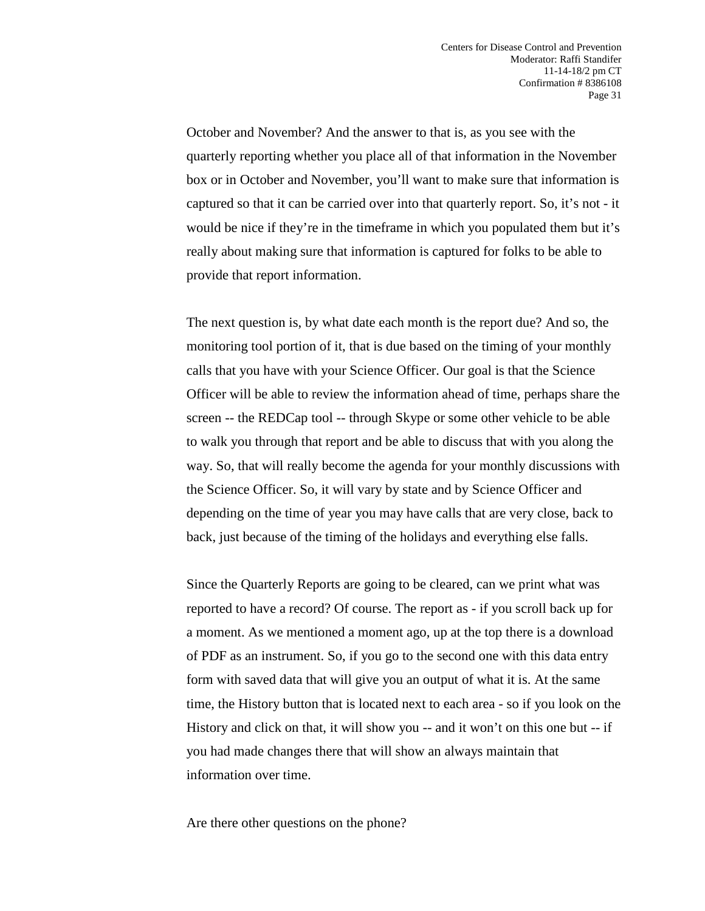October and November? And the answer to that is, as you see with the quarterly reporting whether you place all of that information in the November box or in October and November, you'll want to make sure that information is captured so that it can be carried over into that quarterly report. So, it's not - it would be nice if they're in the timeframe in which you populated them but it's really about making sure that information is captured for folks to be able to provide that report information.

The next question is, by what date each month is the report due? And so, the monitoring tool portion of it, that is due based on the timing of your monthly calls that you have with your Science Officer. Our goal is that the Science Officer will be able to review the information ahead of time, perhaps share the screen -- the REDCap tool -- through Skype or some other vehicle to be able to walk you through that report and be able to discuss that with you along the way. So, that will really become the agenda for your monthly discussions with the Science Officer. So, it will vary by state and by Science Officer and depending on the time of year you may have calls that are very close, back to back, just because of the timing of the holidays and everything else falls.

Since the Quarterly Reports are going to be cleared, can we print what was reported to have a record? Of course. The report as - if you scroll back up for a moment. As we mentioned a moment ago, up at the top there is a download of PDF as an instrument. So, if you go to the second one with this data entry form with saved data that will give you an output of what it is. At the same time, the History button that is located next to each area - so if you look on the History and click on that, it will show you -- and it won't on this one but -- if you had made changes there that will show an always maintain that information over time.

Are there other questions on the phone?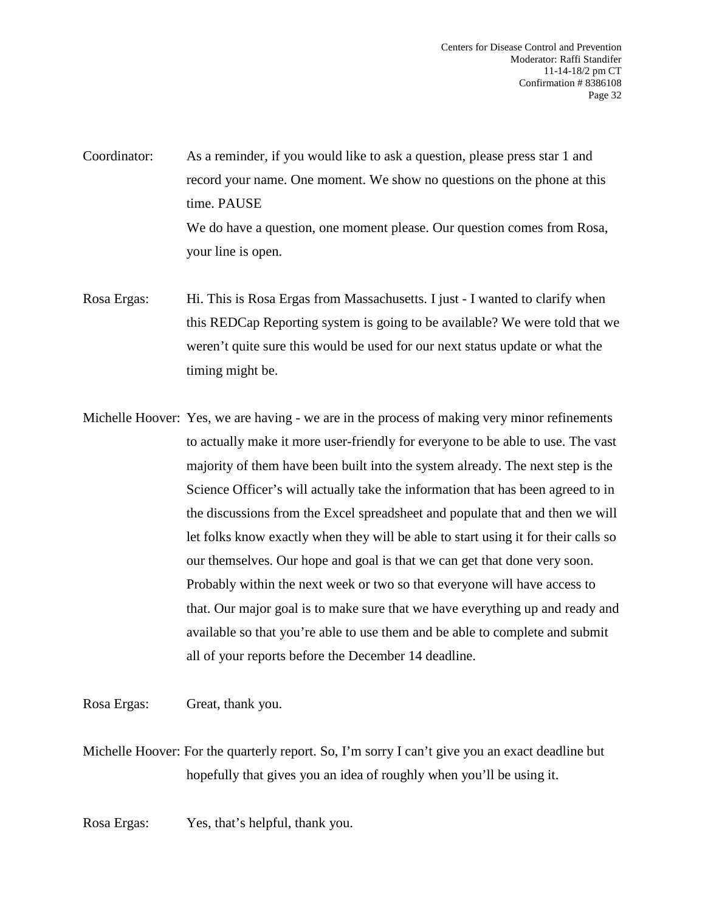Coordinator: As a reminder, if you would like to ask a question, please press star 1 and record your name. One moment. We show no questions on the phone at this time. PAUSE We do have a question, one moment please. Our question comes from Rosa, your line is open.

- Rosa Ergas: Hi. This is Rosa Ergas from Massachusetts. I just I wanted to clarify when this REDCap Reporting system is going to be available? We were told that we weren't quite sure this would be used for our next status update or what the timing might be.
- Michelle Hoover: Yes, we are having we are in the process of making very minor refinements to actually make it more user-friendly for everyone to be able to use. The vast majority of them have been built into the system already. The next step is the Science Officer's will actually take the information that has been agreed to in the discussions from the Excel spreadsheet and populate that and then we will let folks know exactly when they will be able to start using it for their calls so our themselves. Our hope and goal is that we can get that done very soon. Probably within the next week or two so that everyone will have access to that. Our major goal is to make sure that we have everything up and ready and available so that you're able to use them and be able to complete and submit all of your reports before the December 14 deadline.

Rosa Ergas: Great, thank you.

Michelle Hoover: For the quarterly report. So, I'm sorry I can't give you an exact deadline but hopefully that gives you an idea of roughly when you'll be using it.

Rosa Ergas: Yes, that's helpful, thank you.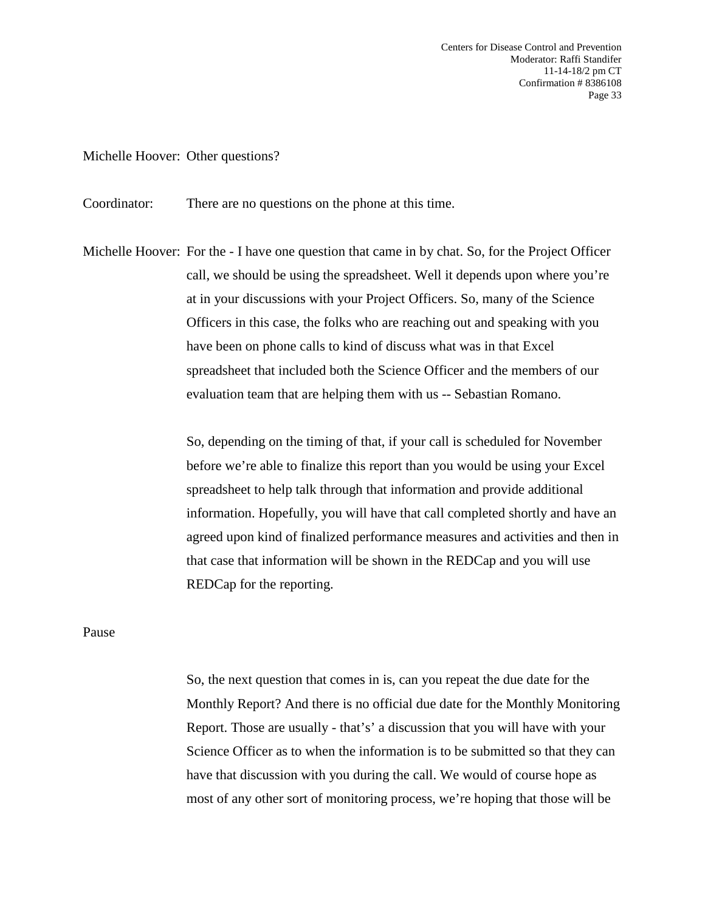Centers for Disease Control and Prevention Moderator: Raffi Standifer 11-14-18/2 pm CT Confirmation # 8386108 Page 33

Michelle Hoover: Other questions?

Coordinator: There are no questions on the phone at this time.

Michelle Hoover: For the - I have one question that came in by chat. So, for the Project Officer call, we should be using the spreadsheet. Well it depends upon where you're at in your discussions with your Project Officers. So, many of the Science Officers in this case, the folks who are reaching out and speaking with you have been on phone calls to kind of discuss what was in that Excel spreadsheet that included both the Science Officer and the members of our evaluation team that are helping them with us -- Sebastian Romano.

> So, depending on the timing of that, if your call is scheduled for November before we're able to finalize this report than you would be using your Excel spreadsheet to help talk through that information and provide additional information. Hopefully, you will have that call completed shortly and have an agreed upon kind of finalized performance measures and activities and then in that case that information will be shown in the REDCap and you will use REDCap for the reporting.

Pause

So, the next question that comes in is, can you repeat the due date for the Monthly Report? And there is no official due date for the Monthly Monitoring Report. Those are usually - that's' a discussion that you will have with your Science Officer as to when the information is to be submitted so that they can have that discussion with you during the call. We would of course hope as most of any other sort of monitoring process, we're hoping that those will be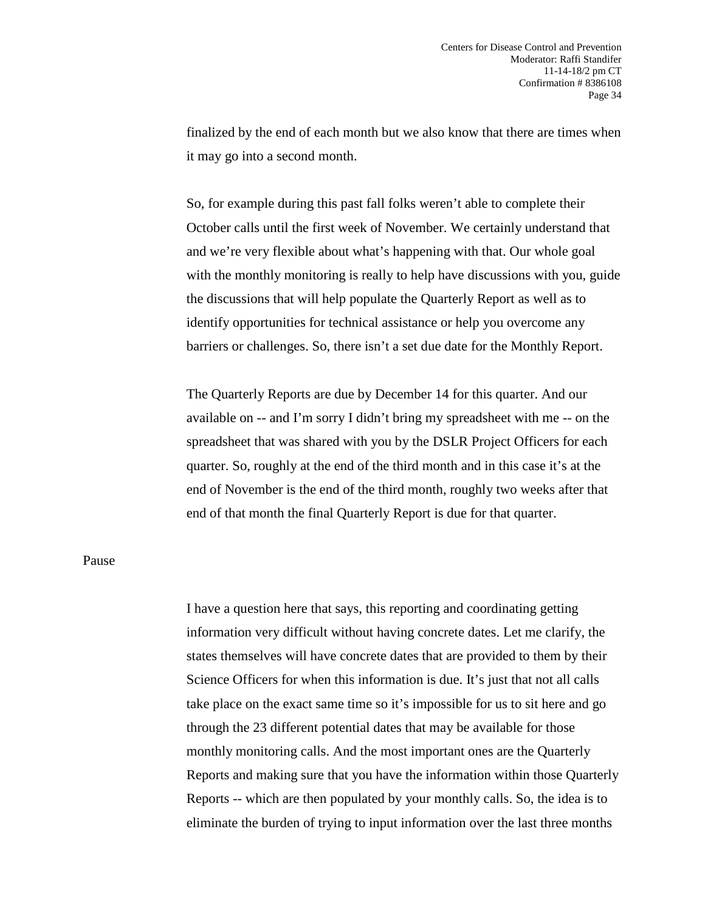finalized by the end of each month but we also know that there are times when it may go into a second month.

So, for example during this past fall folks weren't able to complete their October calls until the first week of November. We certainly understand that and we're very flexible about what's happening with that. Our whole goal with the monthly monitoring is really to help have discussions with you, guide the discussions that will help populate the Quarterly Report as well as to identify opportunities for technical assistance or help you overcome any barriers or challenges. So, there isn't a set due date for the Monthly Report.

The Quarterly Reports are due by December 14 for this quarter. And our available on -- and I'm sorry I didn't bring my spreadsheet with me -- on the spreadsheet that was shared with you by the DSLR Project Officers for each quarter. So, roughly at the end of the third month and in this case it's at the end of November is the end of the third month, roughly two weeks after that end of that month the final Quarterly Report is due for that quarter.

## Pause

I have a question here that says, this reporting and coordinating getting information very difficult without having concrete dates. Let me clarify, the states themselves will have concrete dates that are provided to them by their Science Officers for when this information is due. It's just that not all calls take place on the exact same time so it's impossible for us to sit here and go through the 23 different potential dates that may be available for those monthly monitoring calls. And the most important ones are the Quarterly Reports and making sure that you have the information within those Quarterly Reports -- which are then populated by your monthly calls. So, the idea is to eliminate the burden of trying to input information over the last three months